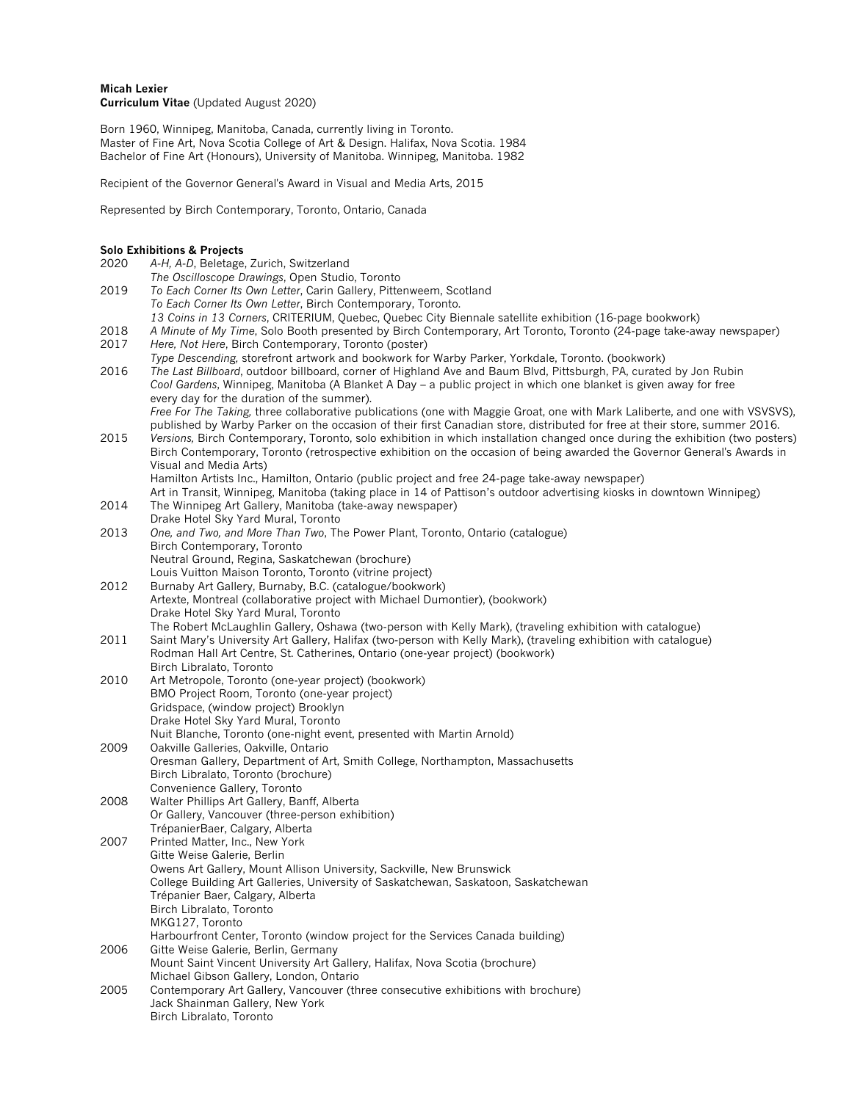# **Micah Lexier Curriculum Vitae** (Updated August 2020)

Born 1960, Winnipeg, Manitoba, Canada, currently living in Toronto. Master of Fine Art, Nova Scotia College of Art & Design. Halifax, Nova Scotia. 1984 Bachelor of Fine Art (Honours), University of Manitoba. Winnipeg, Manitoba. 1982

Recipient of the Governor General's Award in Visual and Media Arts, 2015

Represented by Birch Contemporary, Toronto, Ontario, Canada

# **Solo Exhibitions & Projects**

| 2020         | A-H, A-D, Beletage, Zurich, Switzerland                                                                                       |
|--------------|-------------------------------------------------------------------------------------------------------------------------------|
|              | The Oscilloscope Drawings, Open Studio, Toronto                                                                               |
| 2019         | To Each Corner Its Own Letter, Carin Gallery, Pittenweem, Scotland                                                            |
|              | To Each Corner Its Own Letter, Birch Contemporary, Toronto.                                                                   |
|              | 13 Coins in 13 Corners, CRITERIUM, Quebec, Quebec City Biennale satellite exhibition (16-page bookwork)                       |
| 2018         | A Minute of My Time, Solo Booth presented by Birch Contemporary, Art Toronto, Toronto (24-page take-away newspaper)           |
| 2017         | Here, Not Here, Birch Contemporary, Toronto (poster)                                                                          |
|              | Type Descending, storefront artwork and bookwork for Warby Parker, Yorkdale, Toronto. (bookwork)                              |
| 2016         | The Last Billboard, outdoor billboard, corner of Highland Ave and Baum Blvd, Pittsburgh, PA, curated by Jon Rubin             |
|              | Cool Gardens, Winnipeg, Manitoba (A Blanket A Day – a public project in which one blanket is given away for free              |
|              | every day for the duration of the summer).                                                                                    |
|              | Free For The Taking, three collaborative publications (one with Maggie Groat, one with Mark Laliberte, and one with VSVSVS),  |
|              | published by Warby Parker on the occasion of their first Canadian store, distributed for free at their store, summer 2016.    |
| 2015         | Versions, Birch Contemporary, Toronto, solo exhibition in which installation changed once during the exhibition (two posters) |
|              | Birch Contemporary, Toronto (retrospective exhibition on the occasion of being awarded the Governor General's Awards in       |
|              | Visual and Media Arts)                                                                                                        |
|              | Hamilton Artists Inc., Hamilton, Ontario (public project and free 24-page take-away newspaper)                                |
|              | Art in Transit, Winnipeg, Manitoba (taking place in 14 of Pattison's outdoor advertising kiosks in downtown Winnipeg)         |
| 2014         | The Winnipeg Art Gallery, Manitoba (take-away newspaper)                                                                      |
|              | Drake Hotel Sky Yard Mural, Toronto                                                                                           |
| 2013         | One, and Two, and More Than Two, The Power Plant, Toronto, Ontario (catalogue)                                                |
|              | Birch Contemporary, Toronto                                                                                                   |
|              | Neutral Ground, Regina, Saskatchewan (brochure)                                                                               |
|              | Louis Vuitton Maison Toronto, Toronto (vitrine project)                                                                       |
| 2012         | Burnaby Art Gallery, Burnaby, B.C. (catalogue/bookwork)                                                                       |
|              | Artexte, Montreal (collaborative project with Michael Dumontier), (bookwork)                                                  |
|              | Drake Hotel Sky Yard Mural, Toronto                                                                                           |
|              | The Robert McLaughlin Gallery, Oshawa (two-person with Kelly Mark), (traveling exhibition with catalogue)                     |
| 2011         | Saint Mary's University Art Gallery, Halifax (two-person with Kelly Mark), (traveling exhibition with catalogue)              |
|              | Rodman Hall Art Centre, St. Catherines, Ontario (one-year project) (bookwork)                                                 |
|              | Birch Libralato, Toronto                                                                                                      |
| 2010         | Art Metropole, Toronto (one-year project) (bookwork)                                                                          |
|              | BMO Project Room, Toronto (one-year project)                                                                                  |
|              | Gridspace, (window project) Brooklyn                                                                                          |
|              | Drake Hotel Sky Yard Mural, Toronto                                                                                           |
|              | Nuit Blanche, Toronto (one-night event, presented with Martin Arnold)                                                         |
| 2009         | Oakville Galleries, Oakville, Ontario                                                                                         |
|              | Oresman Gallery, Department of Art, Smith College, Northampton, Massachusetts                                                 |
|              | Birch Libralato, Toronto (brochure)                                                                                           |
|              | Convenience Gallery, Toronto                                                                                                  |
| 2008         | Walter Phillips Art Gallery, Banff, Alberta                                                                                   |
|              | Or Gallery, Vancouver (three-person exhibition)                                                                               |
|              | TrépanierBaer, Calgary, Alberta                                                                                               |
| 2007         | Printed Matter, Inc., New York                                                                                                |
|              | Gitte Weise Galerie, Berlin                                                                                                   |
|              | Owens Art Gallery, Mount Allison University, Sackville, New Brunswick                                                         |
|              | College Building Art Galleries, University of Saskatchewan, Saskatoon, Saskatchewan                                           |
|              | Trépanier Baer, Calgary, Alberta                                                                                              |
|              | Birch Libralato, Toronto                                                                                                      |
|              | MKG127, Toronto                                                                                                               |
| 2006<br>2005 | Harbourfront Center, Toronto (window project for the Services Canada building)                                                |
|              | Gitte Weise Galerie, Berlin, Germany<br>Mount Saint Vincent University Art Gallery, Halifax, Nova Scotia (brochure)           |
|              | Michael Gibson Gallery, London, Ontario                                                                                       |
|              | Contemporary Art Gallery, Vancouver (three consecutive exhibitions with brochure)                                             |
|              | Jack Shainman Gallery, New York                                                                                               |
|              | Birch Libralato, Toronto                                                                                                      |
|              |                                                                                                                               |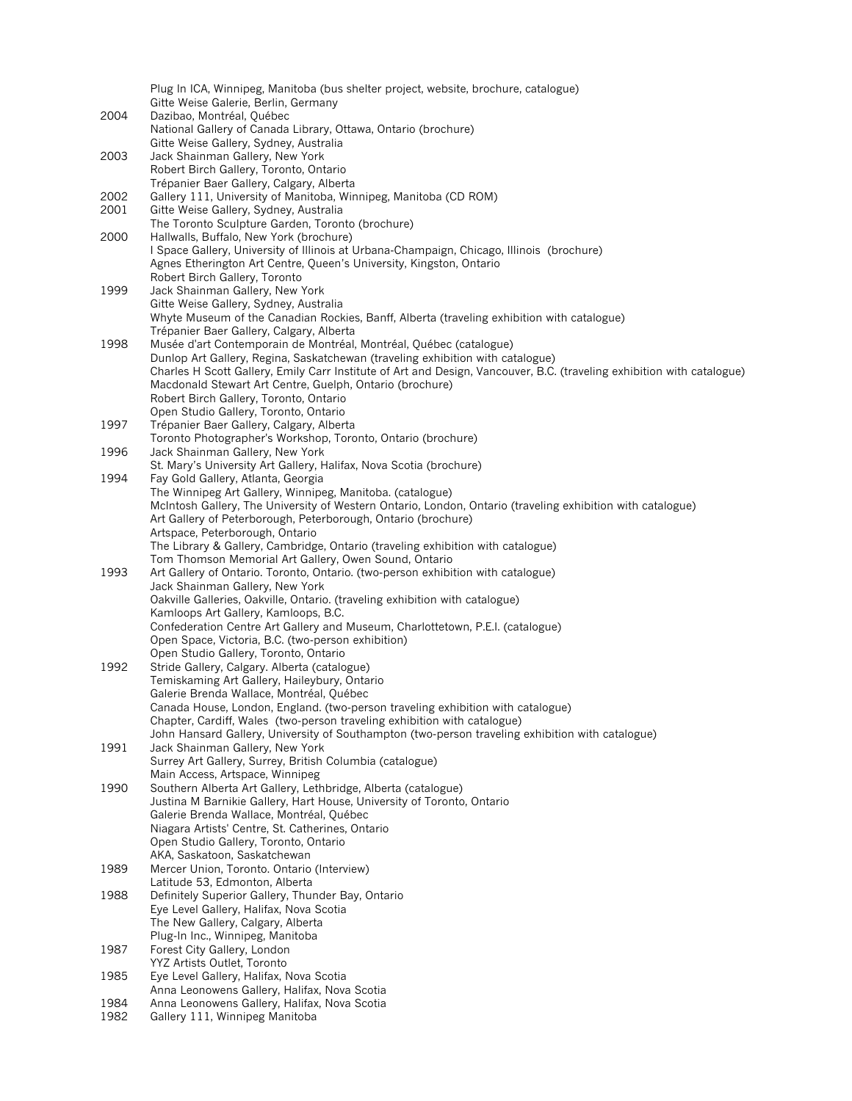|      | Plug In ICA, Winnipeg, Manitoba (bus shelter project, website, brochure, catalogue)                                    |
|------|------------------------------------------------------------------------------------------------------------------------|
|      | Gitte Weise Galerie, Berlin, Germany                                                                                   |
| 2004 | Dazibao, Montréal, Québec                                                                                              |
|      | National Gallery of Canada Library, Ottawa, Ontario (brochure)<br>Gitte Weise Gallery, Sydney, Australia               |
| 2003 | Jack Shainman Gallery, New York                                                                                        |
|      | Robert Birch Gallery, Toronto, Ontario                                                                                 |
|      | Trépanier Baer Gallery, Calgary, Alberta                                                                               |
| 2002 | Gallery 111, University of Manitoba, Winnipeg, Manitoba (CD ROM)                                                       |
| 2001 | Gitte Weise Gallery, Sydney, Australia                                                                                 |
|      | The Toronto Sculpture Garden, Toronto (brochure)                                                                       |
| 2000 | Hallwalls, Buffalo, New York (brochure)                                                                                |
|      | I Space Gallery, University of Illinois at Urbana-Champaign, Chicago, Illinois (brochure)                              |
|      | Agnes Etherington Art Centre, Queen's University, Kingston, Ontario                                                    |
| 1999 | Robert Birch Gallery, Toronto<br>Jack Shainman Gallery, New York                                                       |
|      | Gitte Weise Gallery, Sydney, Australia                                                                                 |
|      | Whyte Museum of the Canadian Rockies, Banff, Alberta (traveling exhibition with catalogue)                             |
|      | Trépanier Baer Gallery, Calgary, Alberta                                                                               |
| 1998 | Musée d'art Contemporain de Montréal, Montréal, Québec (catalogue)                                                     |
|      | Dunlop Art Gallery, Regina, Saskatchewan (traveling exhibition with catalogue)                                         |
|      | Charles H Scott Gallery, Emily Carr Institute of Art and Design, Vancouver, B.C. (traveling exhibition with catalogue) |
|      | Macdonald Stewart Art Centre, Guelph, Ontario (brochure)                                                               |
|      | Robert Birch Gallery, Toronto, Ontario<br>Open Studio Gallery, Toronto, Ontario                                        |
| 1997 | Trépanier Baer Gallery, Calgary, Alberta                                                                               |
|      | Toronto Photographer's Workshop, Toronto, Ontario (brochure)                                                           |
| 1996 | Jack Shainman Gallery, New York                                                                                        |
|      | St. Mary's University Art Gallery, Halifax, Nova Scotia (brochure)                                                     |
| 1994 | Fay Gold Gallery, Atlanta, Georgia                                                                                     |
|      | The Winnipeg Art Gallery, Winnipeg, Manitoba. (catalogue)                                                              |
|      | McIntosh Gallery, The University of Western Ontario, London, Ontario (traveling exhibition with catalogue)             |
|      | Art Gallery of Peterborough, Peterborough, Ontario (brochure)                                                          |
|      | Artspace, Peterborough, Ontario<br>The Library & Gallery, Cambridge, Ontario (traveling exhibition with catalogue)     |
|      | Tom Thomson Memorial Art Gallery, Owen Sound, Ontario                                                                  |
| 1993 | Art Gallery of Ontario. Toronto, Ontario. (two-person exhibition with catalogue)                                       |
|      | Jack Shainman Gallery, New York                                                                                        |
|      | Oakville Galleries, Oakville, Ontario. (traveling exhibition with catalogue)                                           |
|      | Kamloops Art Gallery, Kamloops, B.C.                                                                                   |
|      | Confederation Centre Art Gallery and Museum, Charlottetown, P.E.I. (catalogue)                                         |
|      | Open Space, Victoria, B.C. (two-person exhibition)<br>Open Studio Gallery, Toronto, Ontario                            |
| 1992 | Stride Gallery, Calgary. Alberta (catalogue)                                                                           |
|      | Temiskaming Art Gallery, Haileybury, Ontario                                                                           |
|      | Galerie Brenda Wallace, Montréal, Québec                                                                               |
|      | Canada House, London, England. (two-person traveling exhibition with catalogue)                                        |
|      | Chapter, Cardiff, Wales (two-person traveling exhibition with catalogue)                                               |
|      | John Hansard Gallery, University of Southampton (two-person traveling exhibition with catalogue)                       |
| 1991 | Jack Shainman Gallery, New York                                                                                        |
|      | Surrey Art Gallery, Surrey, British Columbia (catalogue)                                                               |
| 1990 | Main Access, Artspace, Winnipeg<br>Southern Alberta Art Gallery, Lethbridge, Alberta (catalogue)                       |
|      | Justina M Barnikie Gallery, Hart House, University of Toronto, Ontario                                                 |
|      | Galerie Brenda Wallace, Montréal, Québec                                                                               |
|      | Niagara Artists' Centre, St. Catherines, Ontario                                                                       |
|      | Open Studio Gallery, Toronto, Ontario                                                                                  |
|      | AKA, Saskatoon, Saskatchewan                                                                                           |
| 1989 | Mercer Union, Toronto. Ontario (Interview)                                                                             |
|      | Latitude 53, Edmonton, Alberta                                                                                         |
| 1988 | Definitely Superior Gallery, Thunder Bay, Ontario<br>Eye Level Gallery, Halifax, Nova Scotia                           |
|      | The New Gallery, Calgary, Alberta                                                                                      |
|      | Plug-In Inc., Winnipeg, Manitoba                                                                                       |
| 1987 | Forest City Gallery, London                                                                                            |
|      | YYZ Artists Outlet, Toronto                                                                                            |
| 1985 | Eye Level Gallery, Halifax, Nova Scotia                                                                                |
|      | Anna Leonowens Gallery, Halifax, Nova Scotia                                                                           |
| 1984 | Anna Leonowens Gallery, Halifax, Nova Scotia                                                                           |
| 1982 | Gallery 111, Winnipeg Manitoba                                                                                         |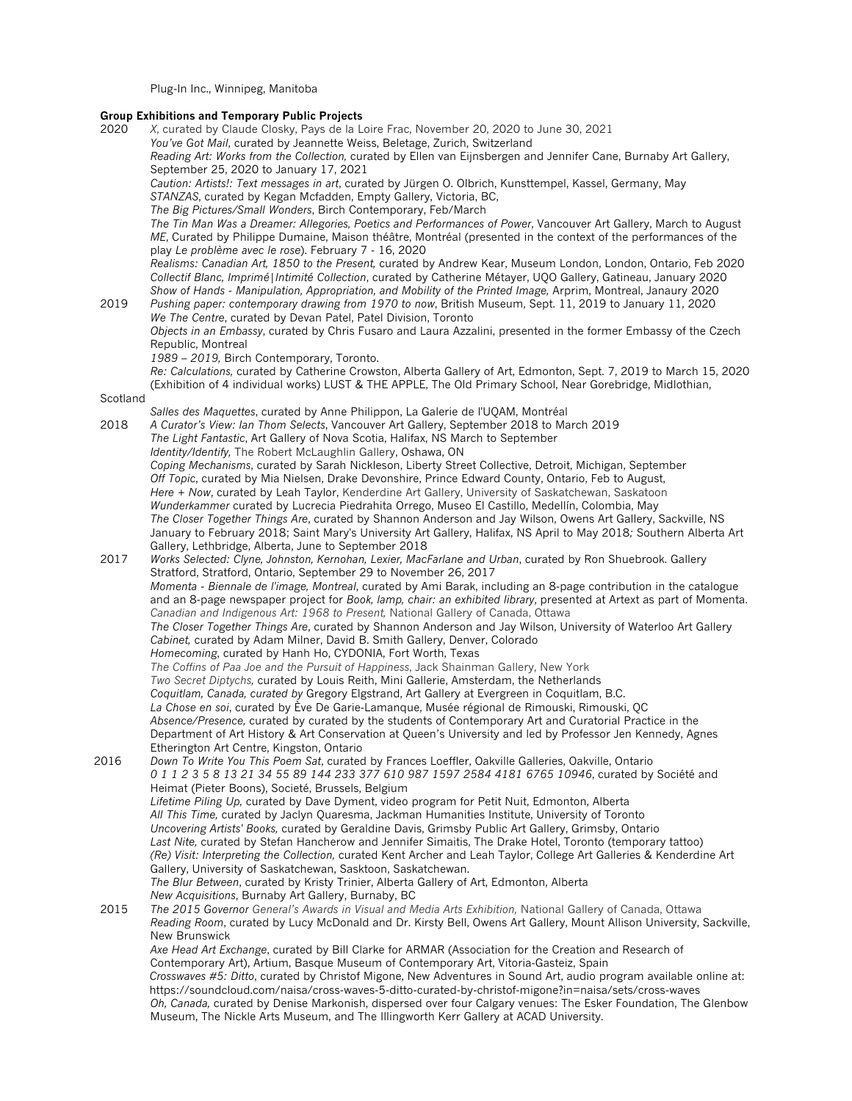Plug-In Inc., Winnipeg, Manitoba

#### **Group Exhibitions and Temporary Public Projects**

2020 *X*, curated by Claude Closky, Pays de la Loire Frac, November 20, 2020 to June 30, 2021

*You've Got Mail*, curated by Jeannette Weiss, Beletage, Zurich, Switzerland

*Reading Art: Works from the Collection,* curated by Ellen van Eijnsbergen and Jennifer Cane, Burnaby Art Gallery, September 25, 2020 to January 17, 2021

*Caution: Artists!: Text messages in art*, curated by Jürgen O. Olbrich, Kunsttempel, Kassel, Germany, May *STANZAS*, curated by Kegan Mcfadden, Empty Gallery, Victoria, BC,

*The Big Pictures/Small Wonders*, Birch Contemporary, Feb/March

*The Tin Man Was a Dreamer: Allegories, Poetics and Performances of Power*, Vancouver Art Gallery, March to August *ME*, Curated by Philippe Dumaine, Maison théâtre, Montréal (presented in the context of the performances of the play *Le problème avec le rose*). February 7 - 16, 2020

*Realisms: Canadian Art, 1850 to the Present,* curated by Andrew Kear, Museum London, London, Ontario, Feb 2020 *Collectif Blanc, Imprimé|Intimité Collection*, curated by Catherine Métayer, UQO Gallery, Gatineau, January 2020 *Show of Hands - Manipulation, Appropriation, and Mobility of the Printed Image,* Arprim, Montreal, Janaury 2020

- 2019 *Pushing paper: contemporary drawing from 1970 to now*, British Museum, Sept. 11, 2019 to January 11, 2020 *We The Centre*, curated by Devan Patel, Patel Division, Toronto *Objects in an Embassy*, curated by Chris Fusaro and Laura Azzalini, presented in the former Embassy of the Czech
	- Republic, Montreal
		- *1989 – 2019,* Birch Contemporary, Toronto.

*Re: Calculations,* curated by Catherine Crowston, Alberta Gallery of Art, Edmonton, Sept. 7, 2019 to March 15, 2020 (Exhibition of 4 individual works) LUST & THE APPLE, The Old Primary School, Near Gorebridge, Midlothian,

# Scotland

*Salles des Maquettes*, curated by Anne Philippon, La Galerie de l'UQAM, Montréal 2018 *A Curator's View: Ian Thom Selects*, Vancouver Art Gallery, September 2018 to March 2019 *The Light Fantastic*, Art Gallery of Nova Scotia, Halifax, NS March to September *Identity/Identify,* The Robert McLaughlin Gallery, Oshawa, ON *Coping Mechanisms*, curated by Sarah Nickleson, Liberty Street Collective, Detroit, Michigan, September *Off Topic*, curated by Mia Nielsen, Drake Devonshire, Prince Edward County, Ontario, Feb to August, *Here + Now*, curated by Leah Taylor, Kenderdine Art Gallery, University of Saskatchewan, Saskatoon *Wunderkammer* curated by Lucrecia Piedrahita Orrego, Museo El Castillo, Medellín, Colombia, May *The Closer Together Things Are*, curated by Shannon Anderson and Jay Wilson, Owens Art Gallery, Sackville, NS January to February 2018; Saint Mary's University Art Gallery, Halifax, NS April to May 2018*;* Southern Alberta Art Gallery, Lethbridge, Alberta, June to September 2018 2017 *Works Selected: Clyne, Johnston, Kernohan, Lexier, MacFarlane and Urban*, curated by Ron Shuebrook. Gallery Stratford, Stratford, Ontario, September 29 to November 26, 2017 *Momenta - Biennale de l'image, Montreal*, curated by Ami Barak, including an 8-page contribution in the catalogue and an 8-page newspaper project for *Book, lamp, chair: an exhibited library*, presented at Artext as part of Momenta. *Canadian and Indigenous Art: 1968 to Present,* National Gallery of Canada, Ottawa *The Closer Together Things Are*, curated by Shannon Anderson and Jay Wilson, University of Waterloo Art Gallery *Cabinet,* curated by Adam Milner, David B. Smith Gallery, Denver, Colorado *Homecoming*, curated by Hanh Ho, CYDONIA, Fort Worth, Texas *The Coffins of Paa Joe and the Pursuit of Happiness*, Jack Shainman Gallery, New York *Two Secret Diptychs,* curated by Louis Reith, Mini Gallerie, Amsterdam, the Netherlands *Coquitlam, Canada, curated by* Gregory Elgstrand, Art Gallery at Evergreen in Coquitlam, B.C. *La Chose en soi*, curated by Ève De Garie-Lamanque, Musée régional de Rimouski, Rimouski, QC *Absence/Presence,* curated by curated by the students of Contemporary Art and Curatorial Practice in the Department of Art History & Art Conservation at Queen's University and led by Professor Jen Kennedy, Agnes Etherington Art Centre, Kingston, Ontario 2016 *Down To Write You This Poem Sat*, curated by Frances Loeffler, Oakville Galleries, Oakville, Ontario *0 1 1 2 3 5 8 13 21 34 55 89 144 233 377 610 987 1597 2584 4181 6765 10946*, curated by Société and Heimat (Pieter Boons), Societé, Brussels, Belgium *Lifetime Piling Up,* curated by Dave Dyment, video program for Petit Nuit, Edmonton, Alberta *All This Time,* curated by Jaclyn Quaresma, Jackman Humanities Institute, University of Toronto *Uncovering Artists' Books,* curated by Geraldine Davis, Grimsby Public Art Gallery, Grimsby, Ontario *Last Nite,* curated by Stefan Hancherow and Jennifer Simaitis, The Drake Hotel, Toronto (temporary tattoo) *(Re) Visit: Interpreting the Collection,* curated Kent Archer and Leah Taylor, College Art Galleries & Kenderdine Art Gallery, University of Saskatchewan, Sasktoon, Saskatchewan. *The Blur Between*, curated by Kristy Trinier, Alberta Gallery of Art, Edmonton, Alberta *New Acquisitions*, Burnaby Art Gallery, Burnaby, BC 2015 *The 2015 Governor General's Awards in Visual and Media Arts Exhibition,* National Gallery of Canada, Ottawa *Reading Room*, curated by Lucy McDonald and Dr. Kirsty Bell, Owens Art Gallery, Mount Allison University, Sackville, New Brunswick *Axe Head Art Exchange*, curated by Bill Clarke for ARMAR (Association for the Creation and Research of Contemporary Art), Artium, Basque Museum of Contemporary Art, Vitoria-Gasteiz, Spain

*Crosswaves #5: Ditto*, curated by Christof Migone, New Adventures in Sound Art, audio program available online at: https://soundcloud.com/naisa/cross-waves-5-ditto-curated-by-christof-migone?in=naisa/sets/cross-waves *Oh, Canada,* curated by Denise Markonish, dispersed over four Calgary venues: The Esker Foundation, The Glenbow Museum, The Nickle Arts Museum, and The Illingworth Kerr Gallery at ACAD University.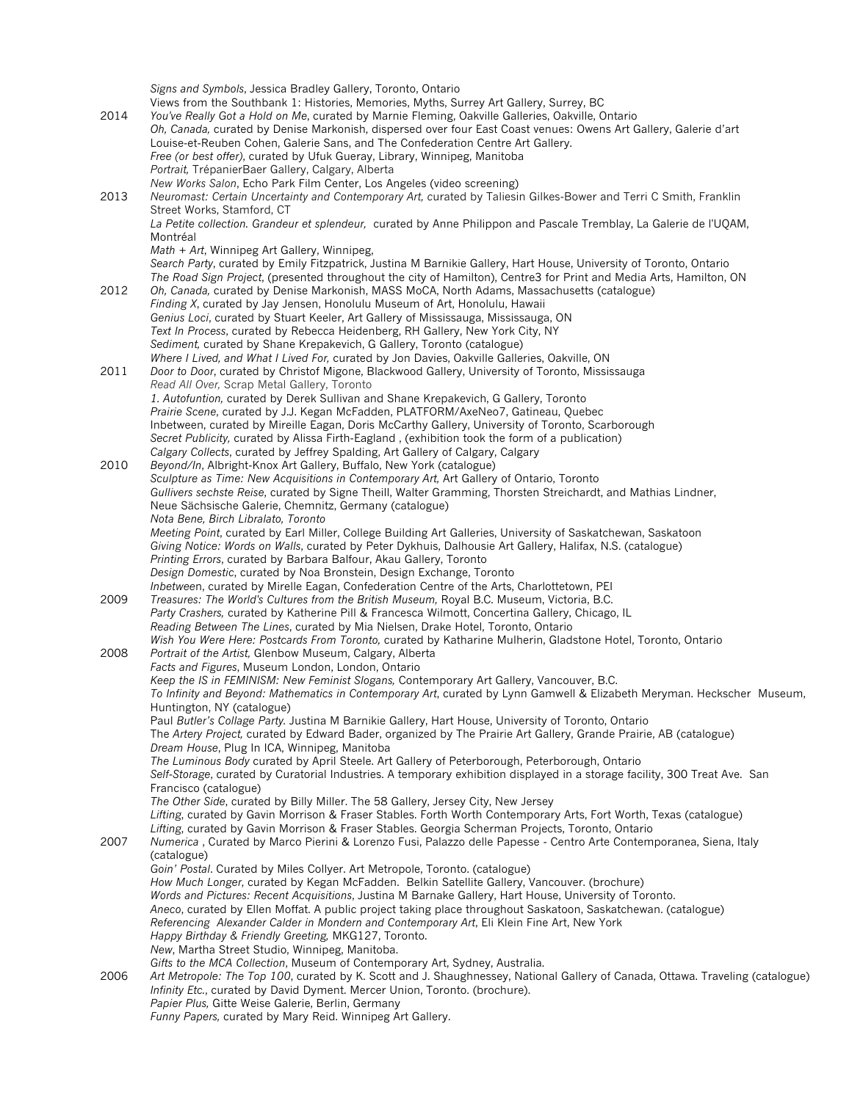*Signs and Symbols*, Jessica Bradley Gallery, Toronto, Ontario Views from the Southbank 1: Histories, Memories, Myths, Surrey Art Gallery, Surrey, BC 2014 *You've Really Got a Hold on Me*, curated by Marnie Fleming, Oakville Galleries, Oakville, Ontario *Oh, Canada,* curated by Denise Markonish, dispersed over four East Coast venues: Owens Art Gallery, Galerie d'art Louise-et-Reuben Cohen, Galerie Sans, and The Confederation Centre Art Gallery. *Free (or best offer)*, curated by Ufuk Gueray, Library, Winnipeg, Manitoba *Portrait,* TrépanierBaer Gallery, Calgary, Alberta *New Works Salon*, Echo Park Film Center, Los Angeles (video screening) 2013 *Neuromast: Certain Uncertainty and Contemporary Art, c*urated by Taliesin Gilkes-Bower and Terri C Smith, Franklin Street Works, Stamford, CT *La Petite collection. Grandeur et splendeur,* curated by Anne Philippon and Pascale Tremblay, La Galerie de l'UQAM, Montréal *Math + Art*, Winnipeg Art Gallery, Winnipeg, *Search Party*, curated by Emily Fitzpatrick, Justina M Barnikie Gallery, Hart House, University of Toronto, Ontario *The Road Sign Project*, (presented throughout the city of Hamilton), Centre3 for Print and Media Arts, Hamilton, ON 2012 *Oh, Canada,* curated by Denise Markonish, MASS MoCA, North Adams, Massachusetts (catalogue) *Finding X*, curated by Jay Jensen, Honolulu Museum of Art, Honolulu, Hawaii *Genius Loci*, curated by Stuart Keeler, Art Gallery of Mississauga, Mississauga, ON *Text In Process*, curated by Rebecca Heidenberg, RH Gallery, New York City, NY *Sediment,* curated by Shane Krepakevich, G Gallery, Toronto (catalogue) *Where I Lived, and What I Lived For,* curated by Jon Davies, Oakville Galleries, Oakville, ON 2011 *Door to Door*, curated by Christof Migone, Blackwood Gallery, University of Toronto, Mississauga *Read All Over,* Scrap Metal Gallery, Toronto *1. Autofuntion,* curated by Derek Sullivan and Shane Krepakevich, G Gallery, Toronto *Prairie Scene*, curated by J.J. Kegan McFadden, PLATFORM/AxeNeo7, Gatineau, Quebec Inbetween, curated by Mireille Eagan, Doris McCarthy Gallery, University of Toronto, Scarborough *Secret Publicity,* curated by Alissa Firth-Eagland , (exhibition took the form of a publication) *Calgary Collects*, curated by Jeffrey Spalding, Art Gallery of Calgary, Calgary 2010 *Beyond/In*, Albright-Knox Art Gallery, Buffalo, New York (catalogue) *Sculpture as Time: New Acquisitions in Contemporary Art,* Art Gallery of Ontario, Toronto *Gullivers sechste Reise*, curated by Signe Theill, Walter Gramming, Thorsten Streichardt, and Mathias Lindner, Neue Sächsische Galerie, Chemnitz, Germany (catalogue) *Nota Bene, Birch Libralato, Toronto Meeting Point*, curated by Earl Miller, College Building Art Galleries, University of Saskatchewan, Saskatoon *Giving Notice: Words on Walls*, curated by Peter Dykhuis, Dalhousie Art Gallery, Halifax, N.S. (catalogue) *Printing Errors*, curated by Barbara Balfour, Akau Gallery, Toronto *Design Domestic*, curated by Noa Bronstein, Design Exchange, Toronto *Inbetwee*n, curated by Mirelle Eagan, Confederation Centre of the Arts, Charlottetown, PEI 2009 *Treasures: The World's Cultures from the British Museum,* Royal B.C. Museum, Victoria, B.C. *Party Crashers,* curated by Katherine Pill & Francesca Wilmott, Concertina Gallery, Chicago, IL *Reading Between The Lines*, curated by Mia Nielsen, Drake Hotel, Toronto, Ontario *Wish You Were Here: Postcards From Toronto,* curated by Katharine Mulherin, Gladstone Hotel, Toronto, Ontario 2008 *Portrait of the Artist,* Glenbow Museum, Calgary, Alberta *Facts and Figures*, Museum London, London, Ontario *Keep the IS in FEMINISM: New Feminist Slogans,* Contemporary Art Gallery, Vancouver, B.C. *To Infinity and Beyond: Mathematics in Contemporary Art*, curated by Lynn Gamwell & Elizabeth Meryman. Heckscher Museum, Huntington, NY (catalogue) Paul *Butler's Collage Party.* Justina M Barnikie Gallery, Hart House, University of Toronto, Ontario The *Artery Project,* curated by Edward Bader, organized by The Prairie Art Gallery, Grande Prairie, AB (catalogue) *Dream House*, Plug In ICA, Winnipeg, Manitoba *The Luminous Body* curated by April Steele. Art Gallery of Peterborough, Peterborough, Ontario *Self-Storage*, curated by Curatorial Industries. A temporary exhibition displayed in a storage facility, 300 Treat Ave. San Francisco (catalogue) *The Other Side*, curated by Billy Miller. The 58 Gallery, Jersey City, New Jersey *Lifting*, curated by Gavin Morrison & Fraser Stables. Forth Worth Contemporary Arts, Fort Worth, Texas (catalogue) *Lifting*, curated by Gavin Morrison & Fraser Stables. Georgia Scherman Projects, Toronto, Ontario 2007 *Numerica* , Curated by Marco Pierini & Lorenzo Fusi, Palazzo delle Papesse - Centro Arte Contemporanea, Siena, Italy (catalogue) *Goin' Postal*. Curated by Miles Collyer. Art Metropole, Toronto. (catalogue) *How Much Longer*, curated by Kegan McFadden. Belkin Satellite Gallery, Vancouver. (brochure) *Words and Pictures: Recent Acquisitions*, Justina M Barnake Gallery, Hart House, University of Toronto. *Aneco*, curated by Ellen Moffat. A public project taking place throughout Saskatoon, Saskatchewan. (catalogue) *Referencing Alexander Calder in Mondern and Contemporary Art*, Eli Klein Fine Art, New York *Happy Birthday & Friendly Greeting,* MKG127, Toronto. *New*, Martha Street Studio, Winnipeg, Manitoba. *Gifts to the MCA Collection*, Museum of Contemporary Art, Sydney, Australia. 2006 *Art Metropole: The Top 100*, curated by K. Scott and J. Shaughnessey, National Gallery of Canada, Ottawa. Traveling (catalogue) *Infinity Etc.*, curated by David Dyment. Mercer Union, Toronto. (brochure). *Papier Plus,* Gitte Weise Galerie, Berlin, Germany *Funny Papers,* curated by Mary Reid. Winnipeg Art Gallery.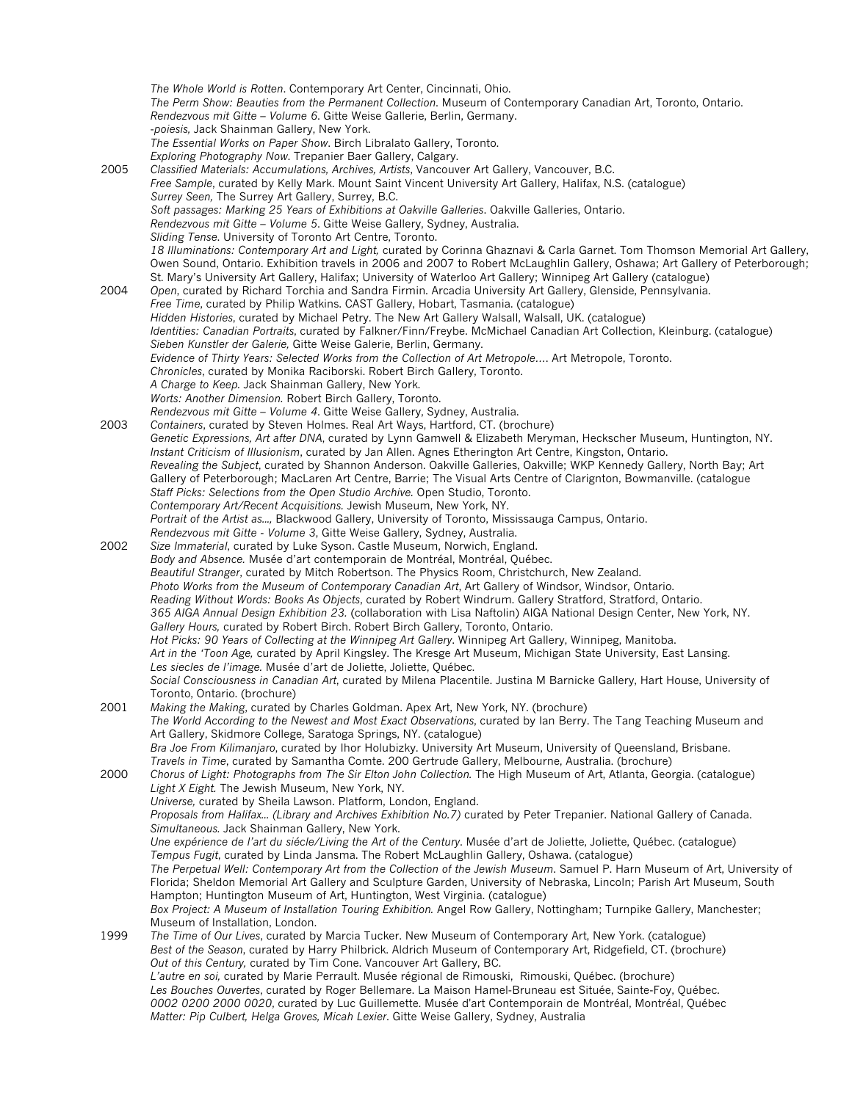*The Whole World is Rotten*. Contemporary Art Center, Cincinnati, Ohio. *The Perm Show: Beauties from the Permanent Collection*. Museum of Contemporary Canadian Art, Toronto, Ontario. *Rendezvous mit Gitte – Volume 6*. Gitte Weise Gallerie, Berlin, Germany. -*poiesis,* Jack Shainman Gallery, New York. *The Essential Works on Paper Show*. Birch Libralato Gallery, Toronto. *Exploring Photography Now*. Trepanier Baer Gallery, Calgary. 2005 *Classified Materials: Accumulations, Archives, Artists*, Vancouver Art Gallery, Vancouver, B.C. *Free Sample*, curated by Kelly Mark. Mount Saint Vincent University Art Gallery, Halifax, N.S. (catalogue) *Surrey Seen,* The Surrey Art Gallery, Surrey, B.C. *Soft passages: Marking 25 Years of Exhibitions at Oakville Galleries*. Oakville Galleries, Ontario. *Rendezvous mit Gitte – Volume 5*. Gitte Weise Gallery, Sydney, Australia. *Sliding Tense*. University of Toronto Art Centre, Toronto. *18 Illuminations: Contemporary Art and Light,* curated by Corinna Ghaznavi & Carla Garnet. Tom Thomson Memorial Art Gallery, Owen Sound, Ontario. Exhibition travels in 2006 and 2007 to Robert McLaughlin Gallery, Oshawa; Art Gallery of Peterborough; St. Mary's University Art Gallery, Halifax; University of Waterloo Art Gallery; Winnipeg Art Gallery (catalogue) 2004 *Open*, curated by Richard Torchia and Sandra Firmin. Arcadia University Art Gallery, Glenside, Pennsylvania. *Free Time*, curated by Philip Watkins. CAST Gallery, Hobart, Tasmania. (catalogue) *Hidden Histories*, curated by Michael Petry. The New Art Gallery Walsall, Walsall, UK. (catalogue) *Identities: Canadian Portraits*, curated by Falkner/Finn/Freybe. McMichael Canadian Art Collection, Kleinburg. (catalogue) *Sieben Kunstler der Galerie,* Gitte Weise Galerie, Berlin, Germany. *Evidence of Thirty Years: Selected Works from the Collection of Art Metropole…*. Art Metropole, Toronto. *Chronicles*, curated by Monika Raciborski. Robert Birch Gallery, Toronto. *A Charge to Keep.* Jack Shainman Gallery, New York. *Worts: Another Dimension.* Robert Birch Gallery, Toronto. *Rendezvous mit Gitte – Volume 4*. Gitte Weise Gallery, Sydney, Australia. 2003 *Containers*, curated by Steven Holmes. Real Art Ways, Hartford, CT. (brochure) *Genetic Expressions, Art after DNA*, curated by Lynn Gamwell & Elizabeth Meryman, Heckscher Museum, Huntington, NY. *Instant Criticism of Illusionism*, curated by Jan Allen. Agnes Etherington Art Centre, Kingston, Ontario. *Revealing the Subject*, curated by Shannon Anderson. Oakville Galleries, Oakville; WKP Kennedy Gallery, North Bay; Art Gallery of Peterborough; MacLaren Art Centre, Barrie; The Visual Arts Centre of Clarignton, Bowmanville. (catalogue *Staff Picks: Selections from the Open Studio Archive.* Open Studio, Toronto. *Contemporary Art/Recent Acquisitions.* Jewish Museum, New York, NY. *Portrait of the Artist as...,* Blackwood Gallery, University of Toronto, Mississauga Campus, Ontario. *Rendezvous mit Gitte - Volume 3*, Gitte Weise Gallery, Sydney, Australia. 2002 *Size Immaterial*, curated by Luke Syson. Castle Museum, Norwich, England. *Body and Absence.* Musée d'art contemporain de Montréal, Montréal, Québec. *Beautiful Stranger*, curated by Mitch Robertson. The Physics Room, Christchurch, New Zealand. *Photo Works from the Museum of Contemporary Canadian Art*, Art Gallery of Windsor, Windsor, Ontario. *Reading Without Words: Books As Objects*, curated by Robert Windrum. Gallery Stratford, Stratford, Ontario. *365 AIGA Annual Design Exhibition 23.* (collaboration with Lisa Naftolin) AIGA National Design Center, New York, NY. *Gallery Hours,* curated by Robert Birch. Robert Birch Gallery, Toronto, Ontario. *Hot Picks: 90 Years of Collecting at the Winnipeg Art Gallery*. Winnipeg Art Gallery, Winnipeg, Manitoba. *Art in the 'Toon Age,* curated by April Kingsley. The Kresge Art Museum, Michigan State University, East Lansing. *Les siecles de l'image.* Musée d'art de Joliette, Joliette, Québec. *Social Consciousness in Canadian Art*, curated by Milena Placentile. Justina M Barnicke Gallery, Hart House, University of Toronto, Ontario. (brochure) 2001 *Making the Making*, curated by Charles Goldman. Apex Art, New York, NY. (brochure) *The World According to the Newest and Most Exact Observations*, curated by Ian Berry. The Tang Teaching Museum and Art Gallery, Skidmore College, Saratoga Springs, NY. (catalogue) *Bra Joe From Kilimanjaro*, curated by Ihor Holubizky. University Art Museum, University of Queensland, Brisbane. *Travels in Time*, curated by Samantha Comte. 200 Gertrude Gallery, Melbourne, Australia. (brochure) 2000 *Chorus of Light: Photographs from The Sir Elton John Collection.* The High Museum of Art, Atlanta, Georgia. (catalogue) *Light X Eight.* The Jewish Museum, New York, NY. *Universe,* curated by Sheila Lawson. Platform, London, England. Proposals from Halifax... (Library and Archives Exhibition No.7) curated by Peter Trepanier. National Gallery of Canada. *Simultaneous.* Jack Shainman Gallery, New York. *Une expérience de l'art du siécle/Living the Art of the Century*. Musée d'art de Joliette, Joliette, Québec. (catalogue) *Tempus Fugit*, curated by Linda Jansma. The Robert McLaughlin Gallery, Oshawa. (catalogue) *The Perpetual Well: Contemporary Art from the Collection of the Jewish Museum*. Samuel P. Harn Museum of Art, University of Florida; Sheldon Memorial Art Gallery and Sculpture Garden, University of Nebraska, Lincoln; Parish Art Museum, South Hampton; Huntington Museum of Art, Huntington, West Virginia. (catalogue) *Box Project: A Museum of Installation Touring Exhibition.* Angel Row Gallery, Nottingham; Turnpike Gallery, Manchester; Museum of Installation, London. 1999 *The Time of Our Lives*, curated by Marcia Tucker. New Museum of Contemporary Art, New York. (catalogue) *Best of the Season*, curated by Harry Philbrick. Aldrich Museum of Contemporary Art, Ridgefield, CT. (brochure) *Out of this Century,* curated by Tim Cone. Vancouver Art Gallery, BC. *L'autre en soi,* curated by Marie Perrault. Musée régional de Rimouski, Rimouski, Québec. (brochure) *Les Bouches Ouvertes*, curated by Roger Bellemare. La Maison Hamel-Bruneau est Située, Sainte-Foy, Québec. *0002 0200 2000 0020*, curated by Luc Guillemette. Musée d'art Contemporain de Montréal, Montréal, Québec *Matter: Pip Culbert, Helga Groves, Micah Lexier*. Gitte Weise Gallery, Sydney, Australia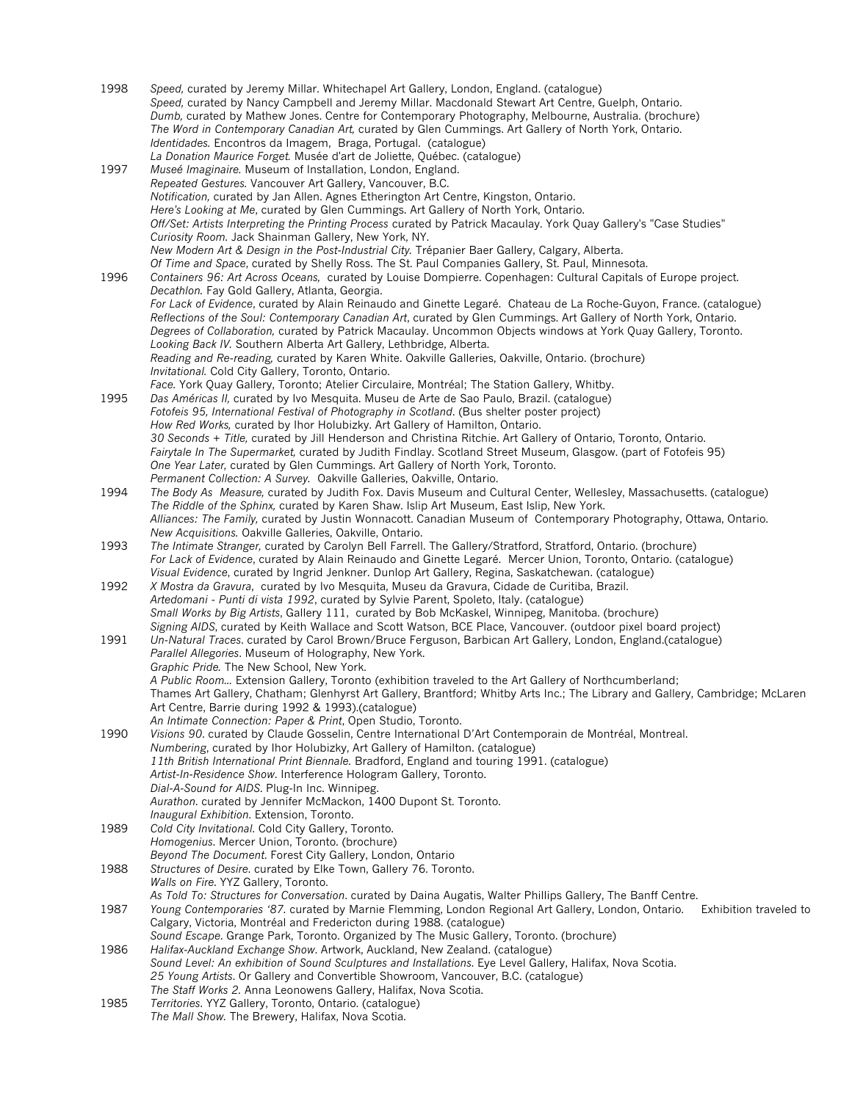1998 *Speed,* curated by Jeremy Millar. Whitechapel Art Gallery, London, England. (catalogue) *Speed,* curated by Nancy Campbell and Jeremy Millar. Macdonald Stewart Art Centre, Guelph, Ontario. *Dumb,* curated by Mathew Jones. Centre for Contemporary Photography, Melbourne, Australia. (brochure) *The Word in Contemporary Canadian Art,* curated by Glen Cummings. Art Gallery of North York, Ontario. *Identidades.* Encontros da Imagem, Braga, Portugal. (catalogue) *La Donation Maurice Forget.* Musée d'art de Joliette, Québec. (catalogue) 1997 *Museé Imaginaire.* Museum of Installation, London, England. *Repeated Gestures.* Vancouver Art Gallery, Vancouver, B.C. *Notification,* curated by Jan Allen. Agnes Etherington Art Centre, Kingston, Ontario. *Here's Looking at Me*, curated by Glen Cummings. Art Gallery of North York, Ontario. *Off/Set: Artists Interpreting the Printing Process* curated by Patrick Macaulay. York Quay Gallery's "Case Studies" *Curiosity Room.* Jack Shainman Gallery, New York, NY. *New Modern Art & Design in the Post-Industrial City.* Trépanier Baer Gallery, Calgary, Alberta. *Of Time and Space*, curated by Shelly Ross. The St. Paul Companies Gallery, St. Paul, Minnesota. 1996 *Containers 96: Art Across Oceans,* curated by Louise Dompierre. Copenhagen: Cultural Capitals of Europe project. *Decathlon.* Fay Gold Gallery, Atlanta, Georgia. *For Lack of Evidence*, curated by Alain Reinaudo and Ginette Legaré. Chateau de La Roche-Guyon, France. (catalogue) *Reflections of the Soul: Contemporary Canadian Art*, curated by Glen Cummings. Art Gallery of North York, Ontario. *Degrees of Collaboration,* curated by Patrick Macaulay. Uncommon Objects windows at York Quay Gallery, Toronto. *Looking Back IV.* Southern Alberta Art Gallery, Lethbridge, Alberta. *Reading and Re-reading,* curated by Karen White. Oakville Galleries, Oakville, Ontario. (brochure) *Invitational.* Cold City Gallery, Toronto, Ontario. *Face.* York Quay Gallery, Toronto; Atelier Circulaire, Montréal; The Station Gallery, Whitby. 1995 *Das Américas II,* curated by Ivo Mesquita. Museu de Arte de Sao Paulo, Brazil. (catalogue) *Fotofeis 95, International Festival of Photography in Scotland*. (Bus shelter poster project) *How Red Works,* curated by Ihor Holubizky. Art Gallery of Hamilton, Ontario. *30 Seconds + Title,* curated by Jill Henderson and Christina Ritchie. Art Gallery of Ontario, Toronto, Ontario. *Fairytale In The Supermarket,* curated by Judith Findlay. Scotland Street Museum, Glasgow. (part of Fotofeis 95) *One Year Later,* curated by Glen Cummings. Art Gallery of North York, Toronto. *Permanent Collection: A Survey.* Oakville Galleries, Oakville, Ontario. 1994 *The Body As Measure,* curated by Judith Fox. Davis Museum and Cultural Center, Wellesley, Massachusetts. (catalogue) *The Riddle of the Sphinx,* curated by Karen Shaw. Islip Art Museum, East Islip, New York. *Alliances: The Family,* curated by Justin Wonnacott. Canadian Museum of Contemporary Photography, Ottawa, Ontario. *New Acquisitions.* Oakville Galleries, Oakville, Ontario. 1993 *The Intimate Stranger,* curated by Carolyn Bell Farrell. The Gallery/Stratford, Stratford, Ontario. (brochure) *For Lack of Evidence*, curated by Alain Reinaudo and Ginette Legaré. Mercer Union, Toronto, Ontario. (catalogue) *Visual Evidence*, curated by Ingrid Jenkner. Dunlop Art Gallery, Regina, Saskatchewan. (catalogue) 1992 *X Mostra da Gravura*, curated by Ivo Mesquita, Museu da Gravura, Cidade de Curitiba, Brazil. *Artedomani - Punti di vista 1992*, curated by Sylvie Parent, Spoleto, Italy. (catalogue) *Small Works by Big Artists*, Gallery 111, curated by Bob McKaskel, Winnipeg, Manitoba. (brochure) *Signing AIDS*, curated by Keith Wallace and Scott Watson, BCE Place, Vancouver. (outdoor pixel board project) 1991 *Un-Natural Traces*. curated by Carol Brown/Bruce Ferguson, Barbican Art Gallery, London, England.(catalogue) *Parallel Allegories*. Museum of Holography, New York. *Graphic Pride.* The New School, New York. *A Public Room...* Extension Gallery, Toronto (exhibition traveled to the Art Gallery of Northcumberland; Thames Art Gallery, Chatham; Glenhyrst Art Gallery, Brantford; Whitby Arts Inc.; The Library and Gallery, Cambridge; McLaren Art Centre, Barrie during 1992 & 1993).(catalogue) *An Intimate Connection: Paper & Print*, Open Studio, Toronto. 1990 *Visions 90*. curated by Claude Gosselin, Centre International D'Art Contemporain de Montréal, Montreal. *Numbering*, curated by Ihor Holubizky, Art Gallery of Hamilton. (catalogue) *11th British International Print Biennale.* Bradford, England and touring 1991. (catalogue) *Artist-In-Residence Show*. Interference Hologram Gallery, Toronto. *Dial-A-Sound for AIDS*. Plug-In Inc. Winnipeg. *Aurathon*. curated by Jennifer McMackon, 1400 Dupont St. Toronto. *Inaugural Exhibition*. Extension, Toronto. 1989 *Cold City Invitational*. Cold City Gallery, Toronto. *Homogenius*. Mercer Union, Toronto. (brochure) *Beyond The Document*. Forest City Gallery, London, Ontario 1988 *Structures of Desire*. curated by Elke Town, Gallery 76. Toronto. *Walls on Fire*. YYZ Gallery, Toronto. *As Told To: Structures for Conversation*. curated by Daina Augatis, Walter Phillips Gallery, The Banff Centre. 1987 *Young Contemporaries '87.* curated by Marnie Flemming, London Regional Art Gallery, London, Ontario. Exhibition traveled to Calgary, Victoria, Montréal and Fredericton during 1988. (catalogue) *Sound Escape*. Grange Park, Toronto. Organized by The Music Gallery, Toronto. (brochure) 1986 *Halifax-Auckland Exchange Show*. Artwork, Auckland, New Zealand. (catalogue) *Sound Level: An exhibition of Sound Sculptures and Installations*. Eye Level Gallery, Halifax, Nova Scotia. *25 Young Artists*. Or Gallery and Convertible Showroom, Vancouver, B.C. (catalogue) *The Staff Works 2.* Anna Leonowens Gallery, Halifax, Nova Scotia. 1985 *Territories*. YYZ Gallery, Toronto, Ontario. (catalogue) *The Mall Show.* The Brewery, Halifax, Nova Scotia.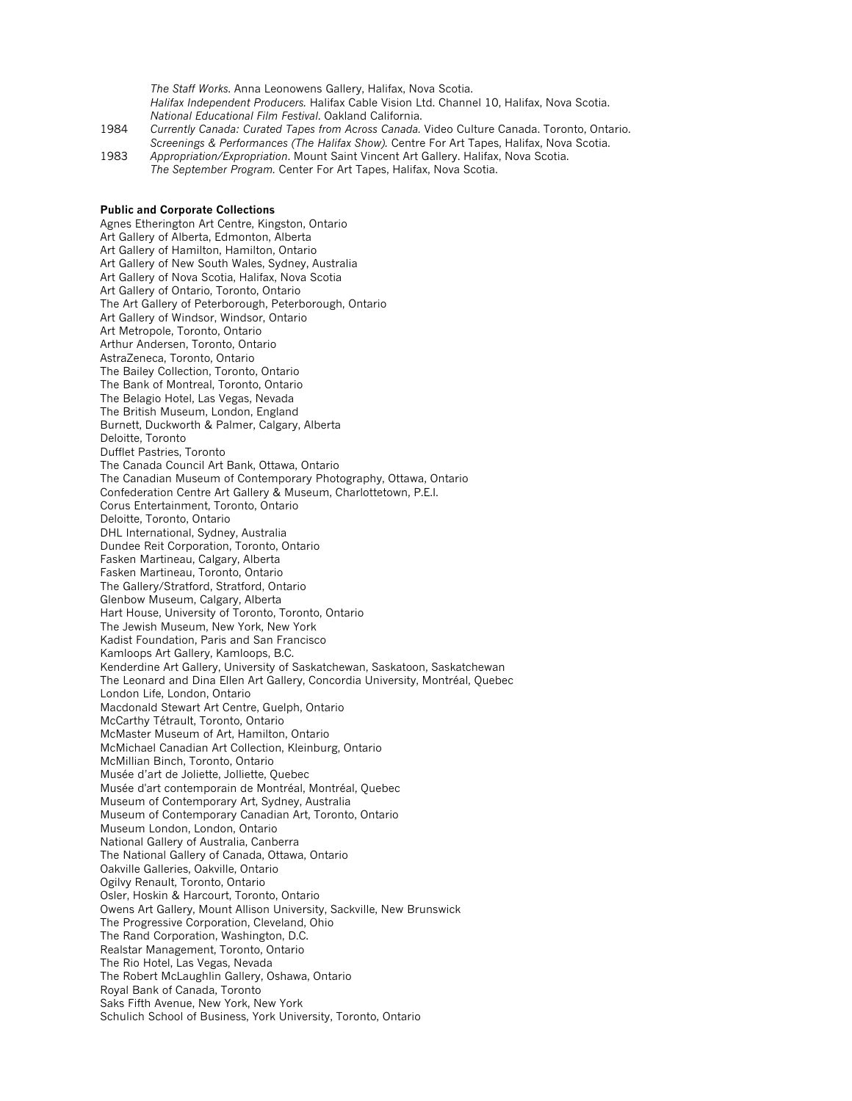*The Staff Works*. Anna Leonowens Gallery, Halifax, Nova Scotia. *Halifax Independent Producers.* Halifax Cable Vision Ltd. Channel 10, Halifax, Nova Scotia. *National Educational Film Festival*. Oakland California. 1984 *Currently Canada: Curated Tapes from Across Canada.* Video Culture Canada. Toronto, Ontario.

- *Screenings & Performances (The Halifax Show).* Centre For Art Tapes, Halifax, Nova Scotia. 1983 *Appropriation/Expropriation*. Mount Saint Vincent Art Gallery. Halifax, Nova Scotia.
- *The September Program.* Center For Art Tapes, Halifax, Nova Scotia.

#### **Public and Corporate Collections**

Agnes Etherington Art Centre, Kingston, Ontario Art Gallery of Alberta, Edmonton, Alberta Art Gallery of Hamilton, Hamilton, Ontario Art Gallery of New South Wales, Sydney, Australia Art Gallery of Nova Scotia, Halifax, Nova Scotia Art Gallery of Ontario, Toronto, Ontario The Art Gallery of Peterborough, Peterborough, Ontario Art Gallery of Windsor, Windsor, Ontario Art Metropole, Toronto, Ontario Arthur Andersen, Toronto, Ontario AstraZeneca, Toronto, Ontario The Bailey Collection, Toronto, Ontario The Bank of Montreal, Toronto, Ontario The Belagio Hotel, Las Vegas, Nevada The British Museum, London, England Burnett, Duckworth & Palmer, Calgary, Alberta Deloitte, Toronto Dufflet Pastries, Toronto The Canada Council Art Bank, Ottawa, Ontario The Canadian Museum of Contemporary Photography, Ottawa, Ontario Confederation Centre Art Gallery & Museum, Charlottetown, P.E.I. Corus Entertainment, Toronto, Ontario Deloitte, Toronto, Ontario DHL International, Sydney, Australia Dundee Reit Corporation, Toronto, Ontario Fasken Martineau, Calgary, Alberta Fasken Martineau, Toronto, Ontario The Gallery/Stratford, Stratford, Ontario Glenbow Museum, Calgary, Alberta Hart House, University of Toronto, Toronto, Ontario The Jewish Museum, New York, New York Kadist Foundation, Paris and San Francisco Kamloops Art Gallery, Kamloops, B.C. Kenderdine Art Gallery, University of Saskatchewan, Saskatoon, Saskatchewan The Leonard and Dina Ellen Art Gallery, Concordia University, Montréal, Quebec London Life, London, Ontario Macdonald Stewart Art Centre, Guelph, Ontario McCarthy Tétrault, Toronto, Ontario McMaster Museum of Art, Hamilton, Ontario McMichael Canadian Art Collection, Kleinburg, Ontario McMillian Binch, Toronto, Ontario Musée d'art de Joliette, Jolliette, Quebec Musée d'art contemporain de Montréal, Montréal, Quebec Museum of Contemporary Art, Sydney, Australia Museum of Contemporary Canadian Art, Toronto, Ontario Museum London, London, Ontario National Gallery of Australia, Canberra The National Gallery of Canada, Ottawa, Ontario Oakville Galleries, Oakville, Ontario Ogilvy Renault, Toronto, Ontario Osler, Hoskin & Harcourt, Toronto, Ontario Owens Art Gallery, Mount Allison University, Sackville, New Brunswick The Progressive Corporation, Cleveland, Ohio The Rand Corporation, Washington, D.C. Realstar Management, Toronto, Ontario The Rio Hotel, Las Vegas, Nevada The Robert McLaughlin Gallery, Oshawa, Ontario Royal Bank of Canada, Toronto Saks Fifth Avenue, New York, New York Schulich School of Business, York University, Toronto, Ontario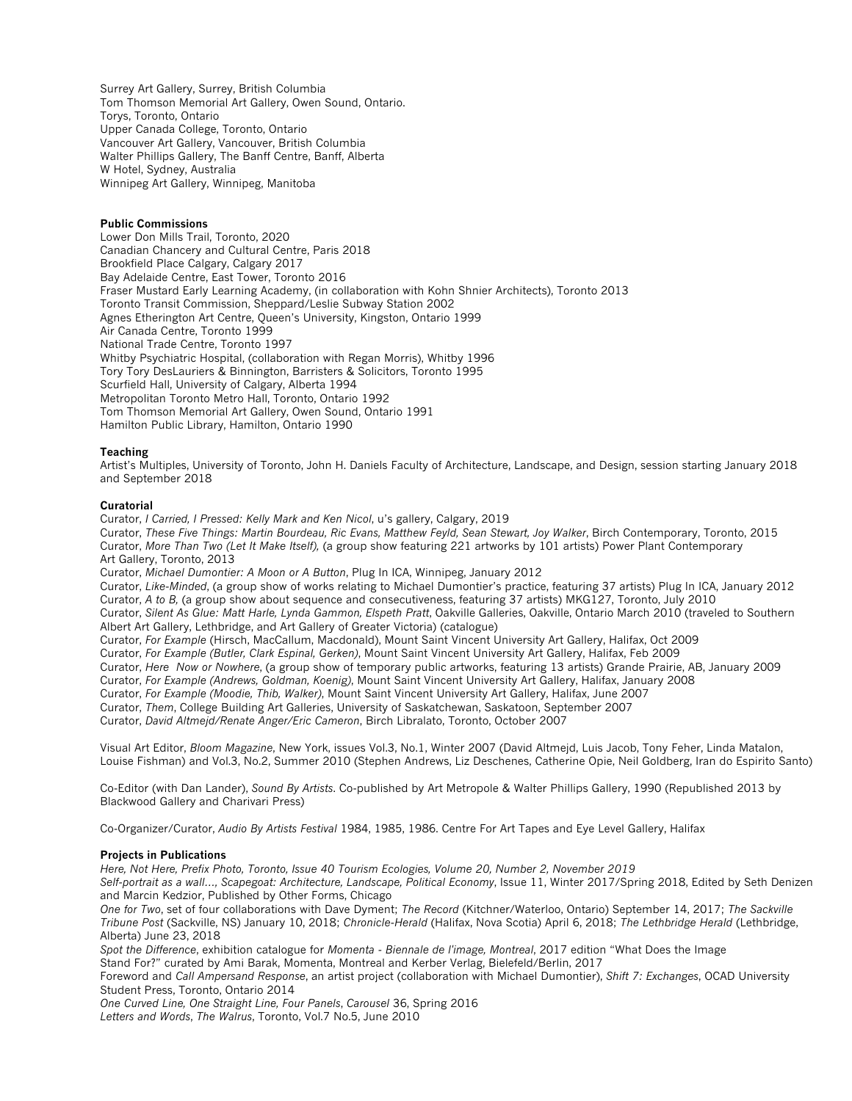Surrey Art Gallery, Surrey, British Columbia Tom Thomson Memorial Art Gallery, Owen Sound, Ontario. Torys, Toronto, Ontario Upper Canada College, Toronto, Ontario Vancouver Art Gallery, Vancouver, British Columbia Walter Phillips Gallery, The Banff Centre, Banff, Alberta W Hotel, Sydney, Australia Winnipeg Art Gallery, Winnipeg, Manitoba

# **Public Commissions**

Lower Don Mills Trail, Toronto, 2020 Canadian Chancery and Cultural Centre, Paris 2018 Brookfield Place Calgary, Calgary 2017 Bay Adelaide Centre, East Tower, Toronto 2016 Fraser Mustard Early Learning Academy, (in collaboration with Kohn Shnier Architects), Toronto 2013 Toronto Transit Commission, Sheppard/Leslie Subway Station 2002 Agnes Etherington Art Centre, Queen's University, Kingston, Ontario 1999 Air Canada Centre, Toronto 1999 National Trade Centre, Toronto 1997 Whitby Psychiatric Hospital, (collaboration with Regan Morris), Whitby 1996 Tory Tory DesLauriers & Binnington, Barristers & Solicitors, Toronto 1995 Scurfield Hall, University of Calgary, Alberta 1994 Metropolitan Toronto Metro Hall, Toronto, Ontario 1992 Tom Thomson Memorial Art Gallery, Owen Sound, Ontario 1991 Hamilton Public Library, Hamilton, Ontario 1990

#### **Teaching**

Artist's Multiples, University of Toronto, John H. Daniels Faculty of Architecture, Landscape, and Design, session starting January 2018 and September 2018

#### **Curatorial**

Curator, *I Carried, I Pressed: Kelly Mark and Ken Nicol*, u's gallery, Calgary, 2019 Curator, *These Five Things: Martin Bourdeau, Ric Evans, Matthew Feyld, Sean Stewart, Joy Walker*, Birch Contemporary, Toronto, 2015 Curator, *More Than Two (Let It Make Itself),* (a group show featuring 221 artworks by 101 artists) Power Plant Contemporary Art Gallery, Toronto, 2013

Curator, *Michael Dumontier: A Moon or A Button*, Plug In ICA, Winnipeg, January 2012

Curator, *Like-Minded*, (a group show of works relating to Michael Dumontier's practice, featuring 37 artists) Plug In ICA, January 2012 Curator, *A to B,* (a group show about sequence and consecutiveness, featuring 37 artists) MKG127, Toronto, July 2010 Curator, *Silent As Glue: Matt Harle, Lynda Gammon, Elspeth Pratt*, Oakville Galleries, Oakville, Ontario March 2010 (traveled to Southern Albert Art Gallery, Lethbridge, and Art Gallery of Greater Victoria) (catalogue)

Curator, *For Example* (Hirsch, MacCallum, Macdonald), Mount Saint Vincent University Art Gallery, Halifax, Oct 2009

Curator, *For Example (Butler, Clark Espinal, Gerken)*, Mount Saint Vincent University Art Gallery, Halifax, Feb 2009

Curator, *Here Now or Nowhere*, (a group show of temporary public artworks, featuring 13 artists) Grande Prairie, AB, January 2009

Curator, *For Example (Andrews, Goldman, Koenig)*, Mount Saint Vincent University Art Gallery, Halifax, January 2008

Curator, *For Example (Moodie, Thib, Walker)*, Mount Saint Vincent University Art Gallery, Halifax, June 2007

Curator, *Them*, College Building Art Galleries, University of Saskatchewan, Saskatoon, September 2007

Curator, *David Altmejd/Renate Anger/Eric Cameron*, Birch Libralato, Toronto, October 2007

Visual Art Editor, *Bloom Magazine*, New York, issues Vol.3, No.1, Winter 2007 (David Altmejd, Luis Jacob, Tony Feher, Linda Matalon, Louise Fishman) and Vol.3, No.2, Summer 2010 (Stephen Andrews, Liz Deschenes, Catherine Opie, Neil Goldberg, Iran do Espirito Santo)

Co-Editor (with Dan Lander), *Sound By Artists*. Co-published by Art Metropole & Walter Phillips Gallery, 1990 (Republished 2013 by Blackwood Gallery and Charivari Press)

Co-Organizer/Curator, *Audio By Artists Festival* 1984, 1985, 1986. Centre For Art Tapes and Eye Level Gallery, Halifax

# **Projects in Publications**

*Here, Not Here, Prefix Photo, Toronto, Issue 40 Tourism Ecologies, Volume 20, Number 2, November 2019*

*Self-portrait as a wall…, Scapegoat: Architecture, Landscape, Political Economy*, Issue 11, Winter 2017/Spring 2018, Edited by Seth Denizen and Marcin Kedzior, Published by Other Forms, Chicago

*One for Two*, set of four collaborations with Dave Dyment; *The Record* (Kitchner/Waterloo, Ontario) September 14, 2017; *The Sackville Tribune Post* (Sackville, NS) January 10, 2018; *Chronicle-Herald* (Halifax, Nova Scotia) April 6, 2018; *The Lethbridge Herald* (Lethbridge, Alberta) June 23, 2018

*Spot the Difference*, exhibition catalogue for *Momenta - Biennale de l'image, Montreal*, 2017 edition "What Does the Image Stand For?" curated by Ami Barak, Momenta, Montreal and Kerber Verlag, Bielefeld/Berlin, 2017

Foreword and *Call Ampersand Response*, an artist project (collaboration with Michael Dumontier), *Shift 7: Exchanges*, OCAD University Student Press, Toronto, Ontario 2014

*One Curved Line, One Straight Line, Four Panels*, *Carousel* 36, Spring 2016 *Letters and Words*, *The Walrus*, Toronto, Vol.7 No.5, June 2010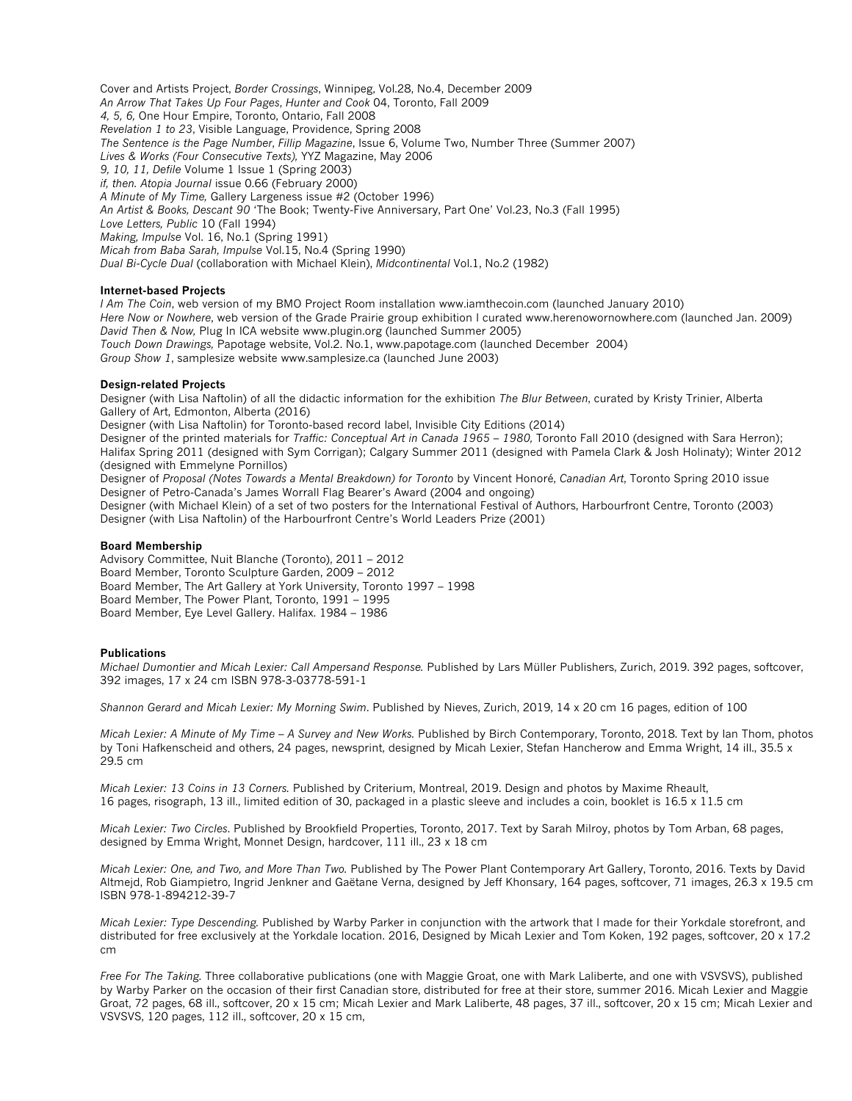Cover and Artists Project, *Border Crossings*, Winnipeg, Vol.28, No.4, December 2009 *An Arrow That Takes Up Four Pages*, *Hunter and Cook* 04, Toronto, Fall 2009 *4, 5, 6,* One Hour Empire, Toronto, Ontario, Fall 2008 *Revelation 1 to 23*, Visible Language, Providence, Spring 2008 *The Sentence is the Page Number*, *Fillip Magazine*, Issue 6, Volume Two, Number Three (Summer 2007) *Lives & Works (Four Consecutive Texts),* YYZ Magazine, May 2006 *9, 10, 11, Defile* Volume 1 Issue 1 (Spring 2003) *if, then. Atopia Journal* issue 0.66 (February 2000) *A Minute of My Time,* Gallery Largeness issue #2 (October 1996) *An Artist & Books, Descant 90* 'The Book; Twenty-Five Anniversary, Part One' Vol.23, No.3 (Fall 1995) *Love Letters, Public* 10 (Fall 1994) *Making, Impulse* Vol. 16, No.1 (Spring 1991) *Micah from Baba Sarah, Impulse* Vol.15, No.4 (Spring 1990) *Dual Bi-Cycle Dual* (collaboration with Michael Klein), *Midcontinental* Vol.1, No.2 (1982)

# **Internet-based Projects**

*I Am The Coin*, web version of my BMO Project Room installation www.iamthecoin.com (launched January 2010) *Here Now or Nowhere*, web version of the Grade Prairie group exhibition I curated www.herenowornowhere.com (launched Jan. 2009) *David Then & Now,* Plug In ICA website www.plugin.org (launched Summer 2005) *Touch Down Drawings,* Papotage website, Vol.2. No.1, www.papotage.com (launched December 2004) *Group Show 1*, samplesize website www.samplesize.ca (launched June 2003)

#### **Design-related Projects**

Designer (with Lisa Naftolin) of all the didactic information for the exhibition *The Blur Between*, curated by Kristy Trinier, Alberta Gallery of Art, Edmonton, Alberta (2016)

Designer (with Lisa Naftolin) for Toronto-based record label, Invisible City Editions (2014)

Designer of the printed materials for *Traffic: Conceptual Art in Canada 1965 – 1980,* Toronto Fall 2010 (designed with Sara Herron); Halifax Spring 2011 (designed with Sym Corrigan); Calgary Summer 2011 (designed with Pamela Clark & Josh Holinaty); Winter 2012 (designed with Emmelyne Pornillos)

Designer of *Proposal (Notes Towards a Mental Breakdown) for Toronto* by Vincent Honoré, *Canadian Art*, Toronto Spring 2010 issue Designer of Petro-Canada's James Worrall Flag Bearer's Award (2004 and ongoing)

Designer (with Michael Klein) of a set of two posters for the International Festival of Authors, Harbourfront Centre, Toronto (2003) Designer (with Lisa Naftolin) of the Harbourfront Centre's World Leaders Prize (2001)

#### **Board Membership**

Advisory Committee, Nuit Blanche (Toronto), 2011 – 2012 Board Member, Toronto Sculpture Garden, 2009 – 2012 Board Member, The Art Gallery at York University, Toronto 1997 – 1998 Board Member, The Power Plant, Toronto, 1991 – 1995 Board Member, Eye Level Gallery. Halifax. 1984 – 1986

# **Publications**

*Michael Dumontier and Micah Lexier: Call Ampersand Response.* Published by Lars Müller Publishers, Zurich, 2019. 392 pages, softcover, 392 images, 17 x 24 cm ISBN 978-3-03778-591-1

*Shannon Gerard and Micah Lexier: My Morning Swim*. Published by Nieves, Zurich, 2019, 14 x 20 cm 16 pages, edition of 100

*Micah Lexier: A Minute of My Time – A Survey and New Works.* Published by Birch Contemporary, Toronto, 2018. Text by Ian Thom, photos by Toni Hafkenscheid and others, 24 pages, newsprint, designed by Micah Lexier, Stefan Hancherow and Emma Wright, 14 ill., 35.5 x 29.5 cm

*Micah Lexier: 13 Coins in 13 Corners.* Published by Criterium, Montreal, 2019. Design and photos by Maxime Rheault, 16 pages, risograph, 13 ill., limited edition of 30, packaged in a plastic sleeve and includes a coin, booklet is 16.5 x 11.5 cm

*Micah Lexier: Two Circles*. Published by Brookfield Properties, Toronto, 2017. Text by Sarah Milroy, photos by Tom Arban, 68 pages, designed by Emma Wright, Monnet Design, hardcover, 111 ill., 23 x 18 cm

*Micah Lexier: One, and Two, and More Than Two.* Published by The Power Plant Contemporary Art Gallery, Toronto, 2016. Texts by David Altmejd, Rob Giampietro, Ingrid Jenkner and Gaëtane Verna, designed by Jeff Khonsary, 164 pages, softcover, 71 images, 26.3 x 19.5 cm ISBN 978-1-894212-39-7

*Micah Lexier: Type Descending.* Published by Warby Parker in conjunction with the artwork that I made for their Yorkdale storefront, and distributed for free exclusively at the Yorkdale location. 2016, Designed by Micah Lexier and Tom Koken, 192 pages, softcover, 20 x 17.2 cm

*Free For The Taking.* Three collaborative publications (one with Maggie Groat, one with Mark Laliberte, and one with VSVSVS), published by Warby Parker on the occasion of their first Canadian store, distributed for free at their store, summer 2016. Micah Lexier and Maggie Groat, 72 pages, 68 ill., softcover, 20 x 15 cm; Micah Lexier and Mark Laliberte, 48 pages, 37 ill., softcover, 20 x 15 cm; Micah Lexier and VSVSVS, 120 pages, 112 ill., softcover, 20 x 15 cm,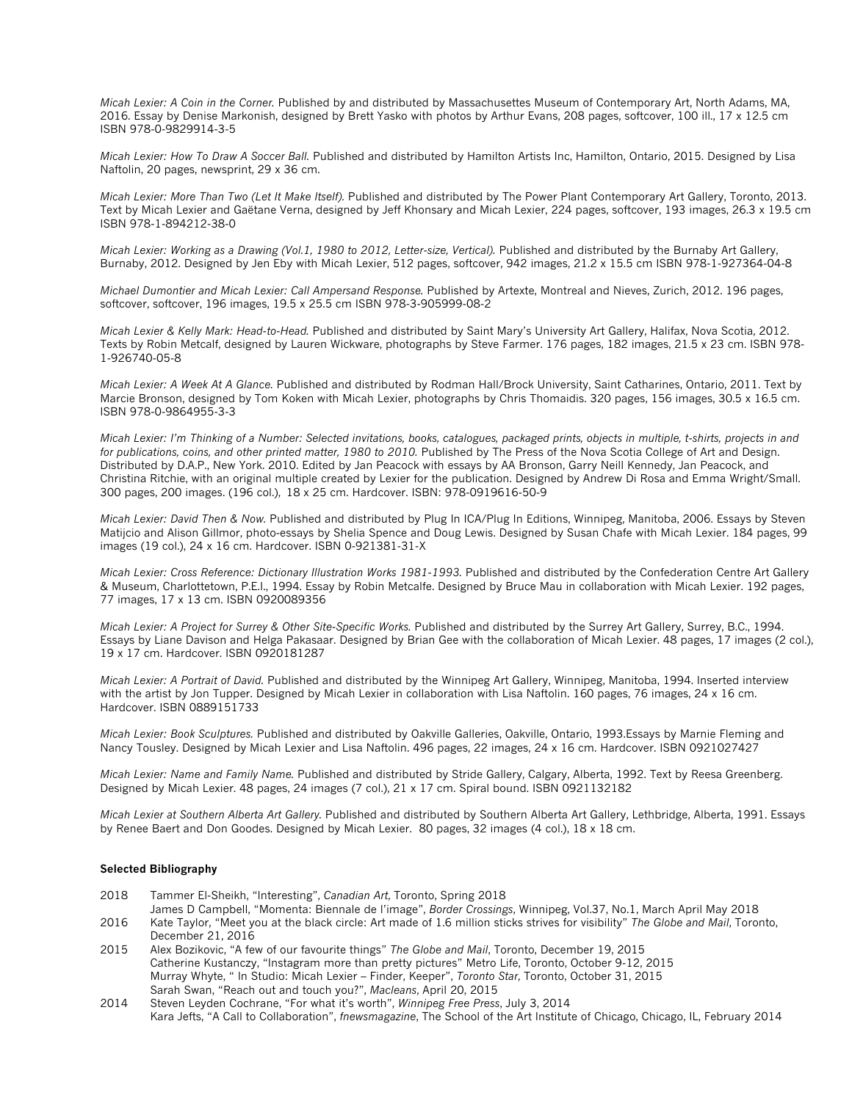*Micah Lexier: A Coin in the Corner.* Published by and distributed by Massachusettes Museum of Contemporary Art, North Adams, MA, 2016. Essay by Denise Markonish, designed by Brett Yasko with photos by Arthur Evans, 208 pages, softcover, 100 ill., 17 x 12.5 cm ISBN 978-0-9829914-3-5

*Micah Lexier: How To Draw A Soccer Ball.* Published and distributed by Hamilton Artists Inc, Hamilton, Ontario, 2015. Designed by Lisa Naftolin, 20 pages, newsprint, 29 x 36 cm.

*Micah Lexier: More Than Two (Let It Make Itself).* Published and distributed by The Power Plant Contemporary Art Gallery, Toronto, 2013. Text by Micah Lexier and Gaëtane Verna, designed by Jeff Khonsary and Micah Lexier, 224 pages, softcover, 193 images, 26.3 x 19.5 cm ISBN 978-1-894212-38-0

*Micah Lexier: Working as a Drawing (Vol.1, 1980 to 2012, Letter-size, Vertical).* Published and distributed by the Burnaby Art Gallery, Burnaby, 2012. Designed by Jen Eby with Micah Lexier, 512 pages, softcover, 942 images, 21.2 x 15.5 cm ISBN 978-1-927364-04-8

*Michael Dumontier and Micah Lexier: Call Ampersand Response.* Published by Artexte, Montreal and Nieves, Zurich, 2012. 196 pages, softcover, softcover, 196 images, 19.5 x 25.5 cm ISBN 978-3-905999-08-2

*Micah Lexier & Kelly Mark: Head-to-Head.* Published and distributed by Saint Mary's University Art Gallery, Halifax, Nova Scotia, 2012. Texts by Robin Metcalf, designed by Lauren Wickware, photographs by Steve Farmer. 176 pages, 182 images, 21.5 x 23 cm. ISBN 978- 1-926740-05-8

*Micah Lexier: A Week At A Glance.* Published and distributed by Rodman Hall/Brock University, Saint Catharines, Ontario, 2011. Text by Marcie Bronson, designed by Tom Koken with Micah Lexier, photographs by Chris Thomaidis. 320 pages, 156 images, 30.5 x 16.5 cm. ISBN 978-0-9864955-3-3

*Micah Lexier: I'm Thinking of a Number: Selected invitations, books, catalogues, packaged prints, objects in multiple, t-shirts, projects in and for publications, coins, and other printed matter, 1980 to 2010.* Published by The Press of the Nova Scotia College of Art and Design. Distributed by D.A.P., New York. 2010. Edited by Jan Peacock with essays by AA Bronson, Garry Neill Kennedy, Jan Peacock, and Christina Ritchie, with an original multiple created by Lexier for the publication. Designed by Andrew Di Rosa and Emma Wright/Small. 300 pages, 200 images. (196 col.), 18 x 25 cm. Hardcover. ISBN: 978-0919616-50-9

*Micah Lexier: David Then & Now.* Published and distributed by Plug In ICA/Plug In Editions, Winnipeg, Manitoba, 2006. Essays by Steven Matijcio and Alison Gillmor, photo-essays by Shelia Spence and Doug Lewis. Designed by Susan Chafe with Micah Lexier. 184 pages, 99 images (19 col.), 24 x 16 cm. Hardcover. ISBN 0-921381-31-X

*Micah Lexier: Cross Reference: Dictionary Illustration Works 1981-1993. Published and distributed by the Confederation Centre Art Gallery* & Museum, Charlottetown, P.E.I., 1994. Essay by Robin Metcalfe. Designed by Bruce Mau in collaboration with Micah Lexier. 192 pages, 77 images, 17 x 13 cm. ISBN 0920089356

*Micah Lexier: A Project for Surrey & Other Site-Specific Works. Published and distributed by the Surrey Art Gallery, Surrey, B.C., 1994.* Essays by Liane Davison and Helga Pakasaar. Designed by Brian Gee with the collaboration of Micah Lexier. 48 pages, 17 images (2 col.), 19 x 17 cm. Hardcover. ISBN 0920181287

*Micah Lexier: A Portrait of David.* Published and distributed by the Winnipeg Art Gallery, Winnipeg, Manitoba, 1994. Inserted interview with the artist by Jon Tupper. Designed by Micah Lexier in collaboration with Lisa Naftolin. 160 pages, 76 images, 24 x 16 cm. Hardcover. ISBN 0889151733

*Micah Lexier: Book Sculptures.* Published and distributed by Oakville Galleries, Oakville, Ontario, 1993.Essays by Marnie Fleming and Nancy Tousley. Designed by Micah Lexier and Lisa Naftolin. 496 pages, 22 images, 24 x 16 cm. Hardcover. ISBN 0921027427

*Micah Lexier: Name and Family Name.* Published and distributed by Stride Gallery, Calgary, Alberta, 1992. Text by Reesa Greenberg. Designed by Micah Lexier. 48 pages, 24 images (7 col.), 21 x 17 cm. Spiral bound. ISBN 0921132182

*Micah Lexier at Southern Alberta Art Gallery.* Published and distributed by Southern Alberta Art Gallery, Lethbridge, Alberta, 1991. Essays by Renee Baert and Don Goodes. Designed by Micah Lexier. 80 pages, 32 images (4 col.), 18 x 18 cm.

# **Selected Bibliography**

- 2018 Tammer El-Sheikh, "Interesting", *Canadian Art*, Toronto, Spring 2018
- James D Campbell, "Momenta: Biennale de l'image", *Border Crossings*, Winnipeg, Vol.37, No.1, March April May 2018
- 2016 Kate Taylor, "Meet you at the black circle: Art made of 1.6 million sticks strives for visibility" *The Globe and Mail*, Toronto, December 21, 2016
- 2015 Alex Bozikovic, "A few of our favourite things" *The Globe and Mail*, Toronto, December 19, 2015 Catherine Kustanczy, "Instagram more than pretty pictures" Metro Life, Toronto, October 9-12, 2015 Murray Whyte, " In Studio: Micah Lexier – Finder, Keeper", *Toronto Star*, Toronto, October 31, 2015 Sarah Swan, "Reach out and touch you?", *Macleans*, April 20, 2015
- 2014 Steven Leyden Cochrane, "For what it's worth", *Winnipeg Free Press*, July 3, 2014 Kara Jefts, "A Call to Collaboration", *fnewsmagazine*, The School of the Art Institute of Chicago, Chicago, IL, February 2014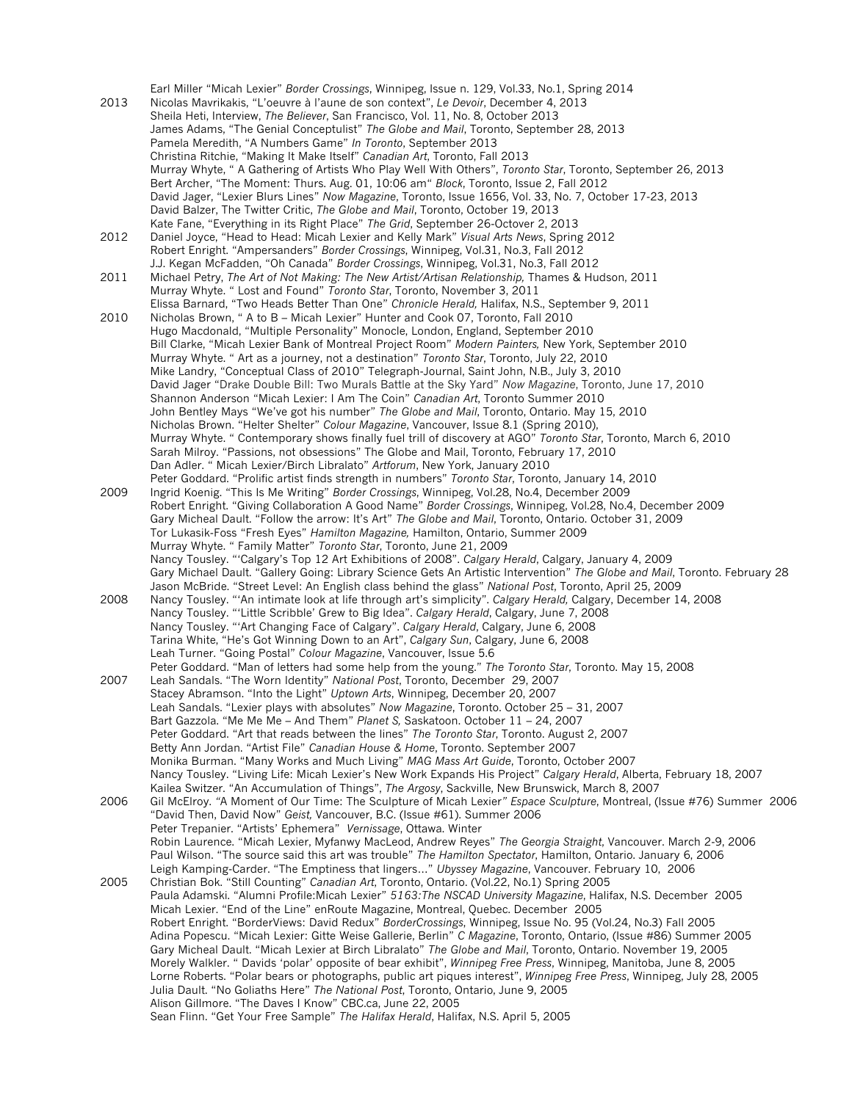Earl Miller "Micah Lexier" *Border Crossings*, Winnipeg, Issue n. 129, Vol.33, No.1, Spring 2014 2013 Nicolas Mavrikakis, "L'oeuvre à l'aune de son context", *Le Devoir*, December 4, 2013 Sheila Heti, Interview, *The Believer*, San Francisco, Vol. 11, No. 8, October 2013 James Adams, "The Genial Conceptulist" *The Globe and Mail*, Toronto, September 28, 2013 Pamela Meredith, "A Numbers Game" *In Toronto*, September 2013 Christina Ritchie, "Making It Make Itself" *Canadian Art*, Toronto, Fall 2013 Murray Whyte, " A Gathering of Artists Who Play Well With Others", *Toronto Star*, Toronto, September 26, 2013 Bert Archer, "The Moment: Thurs. Aug. 01, 10:06 am" *Block*, Toronto, Issue 2, Fall 2012 David Jager, "Lexier Blurs Lines" *Now Magazine*, Toronto, Issue 1656, Vol. 33, No. 7, October 17-23, 2013 David Balzer, The Twitter Critic, *The Globe and Mail*, Toronto, October 19, 2013 Kate Fane, "Everything in its Right Place" *The Grid*, September 26-Octover 2, 2013 2012 Daniel Joyce, "Head to Head: Micah Lexier and Kelly Mark" *Visual Arts News*, Spring 2012 Robert Enright. "Ampersanders" *Border Crossings*, Winnipeg, Vol.31, No.3, Fall 2012 J.J. Kegan McFadden, "Oh Canada" *Border Crossings*, Winnipeg, Vol.31, No.3, Fall 2012 2011 Michael Petry, *The Art of Not Making: The New Artist/Artisan Relationship,* Thames & Hudson, 2011 Murray Whyte. " Lost and Found" *Toronto Star*, Toronto, November 3, 2011 Elissa Barnard, "Two Heads Better Than One" *Chronicle Herald,* Halifax, N.S., September 9, 2011 2010 Nicholas Brown, " A to B – Micah Lexier" Hunter and Cook 07, Toronto, Fall 2010 Hugo Macdonald, "Multiple Personality" Monocle, London, England, September 2010 Bill Clarke, "Micah Lexier Bank of Montreal Project Room" *Modern Painters,* New York, September 2010 Murray Whyte. " Art as a journey, not a destination" *Toronto Star*, Toronto, July 22, 2010 Mike Landry, "Conceptual Class of 2010" Telegraph-Journal, Saint John, N.B., July 3, 2010 David Jager "Drake Double Bill: Two Murals Battle at the Sky Yard" *Now Magazine*, Toronto, June 17, 2010 Shannon Anderson "Micah Lexier: I Am The Coin" *Canadian Art*, Toronto Summer 2010 John Bentley Mays "We've got his number" *The Globe and Mail*, Toronto, Ontario. May 15, 2010 Nicholas Brown. "Helter Shelter" *Colour Magazine*, Vancouver, Issue 8.1 (Spring 2010), Murray Whyte. " Contemporary shows finally fuel trill of discovery at AGO" *Toronto Star*, Toronto, March 6, 2010 Sarah Milroy. "Passions, not obsessions" The Globe and Mail, Toronto, February 17, 2010 Dan Adler. " Micah Lexier/Birch Libralato" *Artforum*, New York, January 2010 Peter Goddard. "Prolific artist finds strength in numbers" *Toronto Star*, Toronto, January 14, 2010 2009 Ingrid Koenig. "This Is Me Writing" *Border Crossings*, Winnipeg, Vol.28, No.4, December 2009 Robert Enright. "Giving Collaboration A Good Name" *Border Crossings*, Winnipeg, Vol.28, No.4, December 2009 Gary Micheal Dault. "Follow the arrow: It's Art" *The Globe and Mail*, Toronto, Ontario. October 31, 2009 Tor Lukasik-Foss "Fresh Eyes" *Hamilton Magazine,* Hamilton, Ontario, Summer 2009 Murray Whyte. " Family Matter" *Toronto Star*, Toronto, June 21, 2009 Nancy Tousley. "'Calgary's Top 12 Art Exhibitions of 2008". *Calgary Herald*, Calgary, January 4, 2009 Gary Michael Dault. "Gallery Going: Library Science Gets An Artistic Intervention" *The Globe and Mail*, Toronto. February 28 Jason McBride. "Street Level: An English class behind the glass" *National Post*, Toronto, April 25, 2009 2008 Nancy Tousley. "'An intimate look at life through art's simplicity". *Calgary Herald,* Calgary, December 14, 2008 Nancy Tousley. "'Little Scribble' Grew to Big Idea". *Calgary Herald*, Calgary, June 7, 2008 Nancy Tousley. "'Art Changing Face of Calgary". *Calgary Herald*, Calgary, June 6, 2008 Tarina White, "He's Got Winning Down to an Art", *Calgary Sun*, Calgary, June 6, 2008 Leah Turner. "Going Postal" *Colour Magazine*, Vancouver, Issue 5.6 Peter Goddard. "Man of letters had some help from the young." *The Toronto Star*, Toronto. May 15, 2008 2007 Leah Sandals. "The Worn Identity" *National Post*, Toronto, December 29, 2007 Stacey Abramson. "Into the Light" *Uptown Arts*, Winnipeg, December 20, 2007 Leah Sandals. "Lexier plays with absolutes" *Now Magazine*, Toronto. October 25 – 31, 2007 Bart Gazzola. "Me Me Me – And Them" *Planet S,* Saskatoon. October 11 – 24, 2007 Peter Goddard. "Art that reads between the lines" *The Toronto Star*, Toronto. August 2, 2007 Betty Ann Jordan. "Artist File" *Canadian House & Home*, Toronto. September 2007 Monika Burman. "Many Works and Much Living" *MAG Mass Art Guide*, Toronto, October 2007 Nancy Tousley. "Living Life: Micah Lexier's New Work Expands His Project" *Calgary Herald*, Alberta, February 18, 2007 Kailea Switzer. "An Accumulation of Things", *The Argosy*, Sackville, New Brunswick, March 8, 2007 2006 Gil McElroy. *"*A Moment of Our Time: The Sculpture of Micah Lexier*" Espace Sculpture*, Montreal, (Issue #76) Summer 2006 "David Then, David Now" *Geist,* Vancouver, B.C. (Issue #61). Summer 2006 Peter Trepanier. "Artists' Ephemera" *Vernissage*, Ottawa. Winter Robin Laurence. "Micah Lexier, Myfanwy MacLeod, Andrew Reyes" *The Georgia Straight*, Vancouver. March 2-9, 2006 Paul Wilson. "The source said this art was trouble" *The Hamilton Spectator*, Hamilton, Ontario. January 6, 2006 Leigh Kamping-Carder. "The Emptiness that lingers…" *Ubyssey Magazine*, Vancouver. February 10, 2006 2005 Christian Bok. "Still Counting" *Canadian Art*, Toronto, Ontario. (Vol.22, No.1) Spring 2005 Paula Adamski. "Alumni Profile:Micah Lexier" *5163:The NSCAD University Magazine*, Halifax, N.S. December 2005 Micah Lexier. "End of the Line" enRoute Magazine, Montreal, Quebec. December 2005 Robert Enright. "BorderViews: David Redux" *BorderCrossings*, Winnipeg, Issue No. 95 (Vol.24, No.3) Fall 2005 Adina Popescu. "Micah Lexier: Gitte Weise Gallerie, Berlin" *C Magazine*, Toronto, Ontario, (Issue #86) Summer 2005 Gary Micheal Dault. "Micah Lexier at Birch Libralato" *The Globe and Mail*, Toronto, Ontario. November 19, 2005 Morely Walkler. " Davids 'polar' opposite of bear exhibit", *Winnipeg Free Press*, Winnipeg, Manitoba, June 8, 2005 Lorne Roberts. "Polar bears or photographs, public art piques interest", *Winnipeg Free Press*, Winnipeg, July 28, 2005 Julia Dault. "No Goliaths Here" *The National Post*, Toronto, Ontario, June 9, 2005 Alison Gillmore. "The Daves I Know" CBC.ca, June 22, 2005 Sean Flinn. "Get Your Free Sample" *The Halifax Herald*, Halifax, N.S. April 5, 2005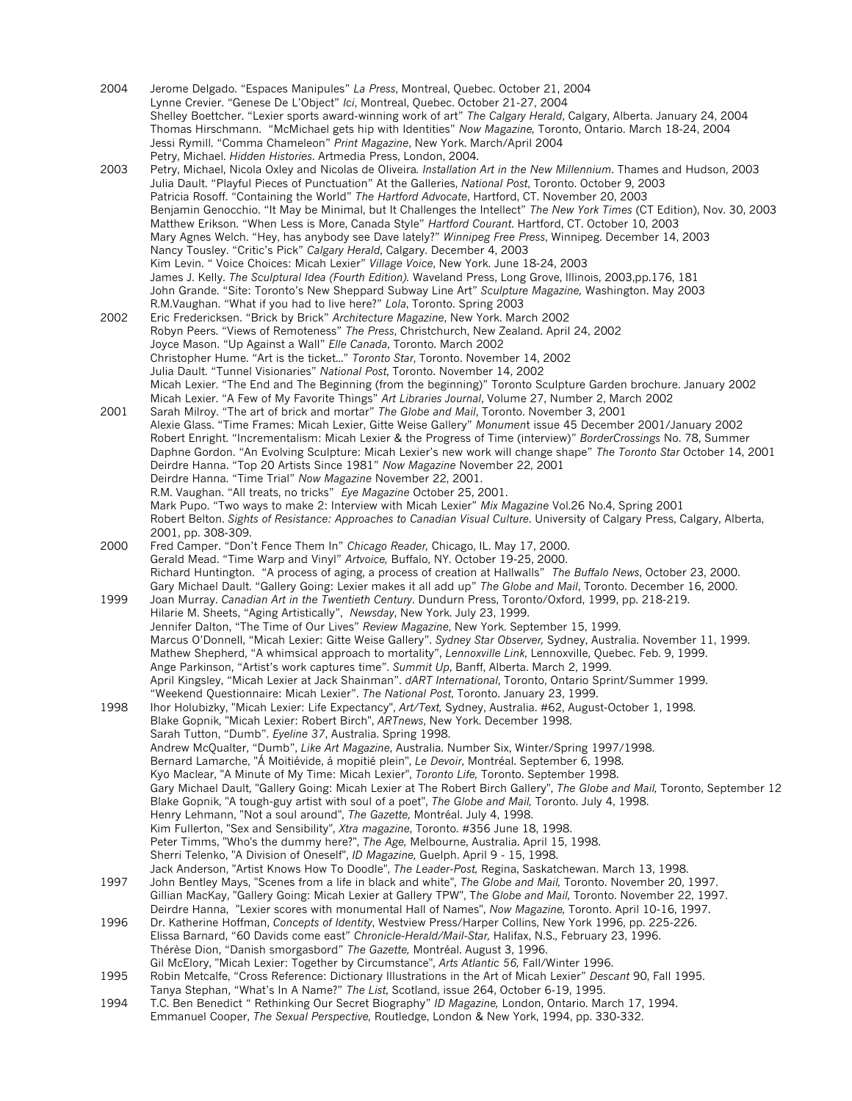2004 Jerome Delgado. "Espaces Manipules" *La Press*, Montreal, Quebec. October 21, 2004 Lynne Crevier. "Genese De L'Object" *Ici*, Montreal, Quebec. October 21-27, 2004 Shelley Boettcher. "Lexier sports award-winning work of art" *The Calgary Herald*, Calgary, Alberta. January 24, 2004 Thomas Hirschmann. "McMichael gets hip with Identities" *Now Magazine,* Toronto, Ontario. March 18-24, 2004 Jessi Rymill. "Comma Chameleon" *Print Magazine*, New York. March/April 2004 Petry, Michael. *Hidden Histories*. Artmedia Press, London, 2004. 2003 Petry, Michael, Nicola Oxley and Nicolas de Oliveira*. Installation Art in the New Millennium*. Thames and Hudson, 2003 Julia Dault. "Playful Pieces of Punctuation" At the Galleries, *National Post*, Toronto. October 9, 2003 Patricia Rosoff. "Containing the World" *The Hartford Advocate*, Hartford, CT. November 20, 2003 Benjamin Genocchio. "It May be Minimal, but It Challenges the Intellect" *The New York Times* (CT Edition), Nov. 30, 2003 Matthew Erikson. "When Less is More, Canada Style" *Hartford Courant*. Hartford, CT. October 10, 2003 Mary Agnes Welch. "Hey, has anybody see Dave lately?" *Winnipeg Free Press*, Winnipeg. December 14, 2003 Nancy Tousley. "Critic's Pick" *Calgary Herald*, Calgary. December 4, 2003 Kim Levin. " Voice Choices: Micah Lexier" *Village Voice*, New York. June 18-24, 2003 James J. Kelly. *The Sculptural Idea (Fourth Edition).* Waveland Press, Long Grove, Illinois, 2003,pp.176, 181 John Grande. "Site: Toronto's New Sheppard Subway Line Art" *Sculpture Magazine,* Washington. May 2003 R.M.Vaughan. "What if you had to live here?" *Lola*, Toronto. Spring 2003 2002 Eric Fredericksen. "Brick by Brick" *Architecture Magazine*, New York. March 2002 Robyn Peers. "Views of Remoteness" *The Press*, Christchurch, New Zealand. April 24, 2002 Joyce Mason. "Up Against a Wall" *Elle Canada*, Toronto. March 2002 Christopher Hume. "Art is the ticket..." *Toronto Star*, Toronto. November 14, 2002 Julia Dault. "Tunnel Visionaries" *National Post*, Toronto. November 14, 2002 Micah Lexier. "The End and The Beginning (from the beginning)" Toronto Sculpture Garden brochure. January 2002 Micah Lexier. "A Few of My Favorite Things" *Art Libraries Journal*, Volume 27, Number 2, March 2002 2001 Sarah Milroy. "The art of brick and mortar" *The Globe and Mail*, Toronto. November 3, 2001 Alexie Glass. "Time Frames: Micah Lexier, Gitte Weise Gallery" *Monumen*t issue 45 December 2001/January 2002 Robert Enright. "Incrementalism: Micah Lexier & the Progress of Time (interview)" *BorderCrossings* No. 78, Summer Daphne Gordon. "An Evolving Sculpture: Micah Lexier's new work will change shape" *The Toronto Star* October 14, 2001 Deirdre Hanna. "Top 20 Artists Since 1981" *Now Magazine* November 22, 2001 Deirdre Hanna. "Time Trial" *Now Magazine* November 22, 2001. R.M. Vaughan. "All treats, no tricks" *Eye Magazine* October 25, 2001. Mark Pupo. "Two ways to make 2: Interview with Micah Lexier" *Mix Magazine* Vol.26 No.4, Spring 2001 Robert Belton. *Sights of Resistance: Approaches to Canadian Visual Culture*. University of Calgary Press, Calgary, Alberta, 2001, pp. 308-309. 2000 Fred Camper. "Don't Fence Them In" *Chicago Reader,* Chicago, IL. May 17, 2000. Gerald Mead. "Time Warp and Vinyl" *Artvoice,* Buffalo, NY. October 19-25, 2000. Richard Huntington. "A process of aging, a process of creation at Hallwalls" *The Buffalo News*, October 23, 2000. Gary Michael Dault. "Gallery Going: Lexier makes it all add up" *The Globe and Mail*, Toronto. December 16, 2000. 1999 Joan Murray. *Canadian Art in the Twentieth Century*. Dundurn Press, Toronto/Oxford, 1999, pp. 218-219. Hilarie M. Sheets, "Aging Artistically", *Newsday*, New York. July 23, 1999. Jennifer Dalton, "The Time of Our Lives" *Review Magazine*, New York. September 15, 1999. Marcus O'Donnell, "Micah Lexier: Gitte Weise Gallery". *Sydney Star Observer,* Sydney, Australia. November 11, 1999. Mathew Shepherd, "A whimsical approach to mortality", *Lennoxville Link*, Lennoxville, Quebec. Feb. 9, 1999. Ange Parkinson, "Artist's work captures time". *Summit Up*, Banff, Alberta. March 2, 1999. April Kingsley, "Micah Lexier at Jack Shainman". *dART International*, Toronto, Ontario Sprint/Summer 1999. "Weekend Questionnaire: Micah Lexier". *The National Post*, Toronto. January 23, 1999. 1998 Ihor Holubizky, "Micah Lexier: Life Expectancy", *Art/Text,* Sydney, Australia. #62, August-October 1, 1998. Blake Gopnik, "Micah Lexier: Robert Birch", *ARTnews*, New York. December 1998. Sarah Tutton, "Dumb". *Eyeline 37*, Australia. Spring 1998. Andrew McQualter, "Dumb", *Like Art Magazine*, Australia. Number Six, Winter/Spring 1997/1998. Bernard Lamarche, "Á Moitiévide, á mopitié plein", *Le Devoir*, Montréal. September 6, 1998. Kyo Maclear, "A Minute of My Time: Micah Lexier", *Toronto Life,* Toronto. September 1998. Gary Michael Dault, "Gallery Going: Micah Lexier at The Robert Birch Gallery", *The Globe and Mail,* Toronto, September 12 Blake Gopnik, "A tough-guy artist with soul of a poet", *The Globe and Mail,* Toronto. July 4, 1998. Henry Lehmann, "Not a soul around", *The Gazette,* Montréal. July 4, 1998. Kim Fullerton, "Sex and Sensibility", *Xtra magazine*, Toronto. #356 June 18, 1998. Peter Timms, "Who's the dummy here?", *The Age,* Melbourne, Australia. April 15, 1998. Sherri Telenko, "A Division of Oneself", *ID Magazine,* Guelph. April 9 - 15, 1998. Jack Anderson, "Artist Knows How To Doodle", *The Leader-Post,* Regina, Saskatchewan. March 13, 1998. 1997 John Bentley Mays, "Scenes from a life in black and white", *The Globe and Mail,* Toronto. November 20, 1997. Gillian MacKay, "Gallery Going: Micah Lexier at Gallery TPW", T*he Globe and Mail,* Toronto. November 22, 1997. Deirdre Hanna, "Lexier scores with monumental Hall of Names", *Now Magazine,* Toronto. April 10-16, 1997. 1996 Dr. Katherine Hoffman, *Concepts of Identity*, Westview Press/Harper Collins, New York 1996, pp. 225-226. Elissa Barnard, "60 Davids come east" *Chronicle-Herald/Mail-Star,* Halifax, N.S., February 23, 1996. Thérèse Dion, "Danish smorgasbord" *The Gazette,* Montréal. August 3, 1996. Gil McElory, "Micah Lexier: Together by Circumstance", *Arts Atlantic 56,* Fall/Winter 1996. 1995 Robin Metcalfe, "Cross Reference: Dictionary Illustrations in the Art of Micah Lexier" *Descant* 90, Fall 1995. Tanya Stephan, "What's In A Name?" *The List*, Scotland, issue 264, October 6-19, 1995. 1994 T.C. Ben Benedict " Rethinking Our Secret Biography" *ID Magazine,* London, Ontario. March 17, 1994. Emmanuel Cooper, *The Sexual Perspective,* Routledge, London & New York, 1994, pp. 330-332.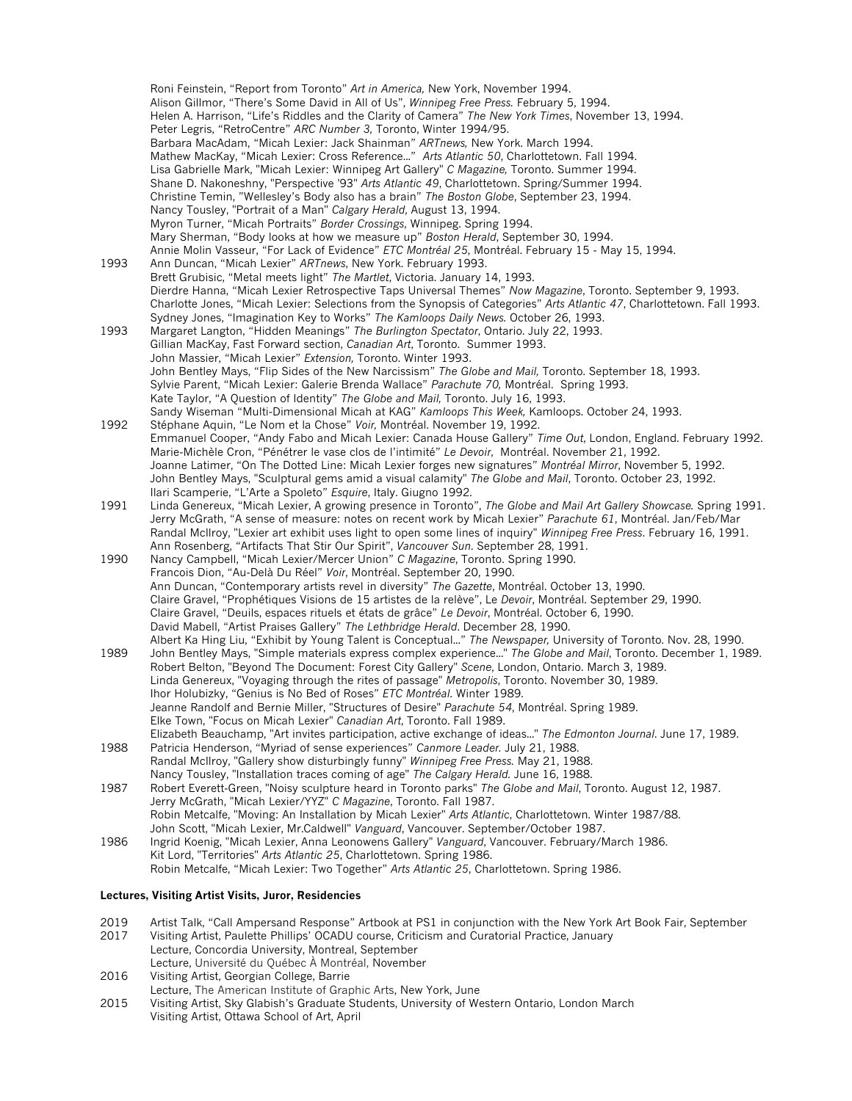Roni Feinstein, "Report from Toronto" *Art in America,* New York, November 1994. Alison Gillmor, "There's Some David in All of Us", *Winnipeg Free Press.* February 5, 1994. Helen A. Harrison, "Life's Riddles and the Clarity of Camera" *The New York Times*, November 13, 1994. Peter Legris, "RetroCentre" *ARC Number 3,* Toronto, Winter 1994/95. Barbara MacAdam, "Micah Lexier: Jack Shainman" *ARTnews,* New York. March 1994. Mathew MacKay, "Micah Lexier: Cross Reference..." *Arts Atlantic 50*, Charlottetown. Fall 1994. Lisa Gabrielle Mark, "Micah Lexier: Winnipeg Art Gallery" *C Magazine,* Toronto. Summer 1994. Shane D. Nakoneshny, "Perspective '93" *Arts Atlantic 49*, Charlottetown. Spring/Summer 1994. Christine Temin, "Wellesley's Body also has a brain" *The Boston Globe*, September 23, 1994. Nancy Tousley, "Portrait of a Man" *Calgary Herald*, August 13, 1994. Myron Turner, "Micah Portraits" *Border Crossings*, Winnipeg. Spring 1994. Mary Sherman, "Body looks at how we measure up" *Boston Herald*, September 30, 1994. Annie Molin Vasseur, "For Lack of Evidence" *ETC Montréal 25*, Montréal. February 15 - May 15, 1994. 1993 Ann Duncan, "Micah Lexier" *ARTnews*, New York. February 1993. Brett Grubisic, "Metal meets light" *The Martlet*, Victoria. January 14, 1993. Dierdre Hanna, "Micah Lexier Retrospective Taps Universal Themes" *Now Magazine*, Toronto. September 9, 1993. Charlotte Jones, "Micah Lexier: Selections from the Synopsis of Categories" *Arts Atlantic 47*, Charlottetown. Fall 1993. Sydney Jones, "Imagination Key to Works" *The Kamloops Daily News.* October 26, 1993. 1993 Margaret Langton, "Hidden Meanings" *The Burlington Spectator*, Ontario. July 22, 1993. Gillian MacKay, Fast Forward section, *Canadian Art*, Toronto. Summer 1993. John Massier, "Micah Lexier" *Extension,* Toronto. Winter 1993. John Bentley Mays, "Flip Sides of the New Narcissism" *The Globe and Mail,* Toronto. September 18, 1993. Sylvie Parent, "Micah Lexier: Galerie Brenda Wallace" *Parachute 70,* Montréal. Spring 1993. Kate Taylor, "A Question of Identity" *The Globe and Mail,* Toronto. July 16, 1993. Sandy Wiseman "Multi-Dimensional Micah at KAG" *Kamloops This Week,* Kamloops. October 24, 1993. 1992 Stéphane Aquin, "Le Nom et la Chose" *Voir,* Montréal. November 19, 1992. Emmanuel Cooper, "Andy Fabo and Micah Lexier: Canada House Gallery" *Time Out*, London, England. February 1992. Marie-Michèle Cron, "Pénétrer le vase clos de l'intimité" *Le Devoir*, Montréal. November 21, 1992. Joanne Latimer, "On The Dotted Line: Micah Lexier forges new signatures" *Montréal Mirror*, November 5, 1992. John Bentley Mays, "Sculptural gems amid a visual calamity" *The Globe and Mail*, Toronto. October 23, 1992. Ilari Scamperie, "L'Arte a Spoleto" *Esquire*, Italy. Giugno 1992. 1991 Linda Genereux, "Micah Lexier, A growing presence in Toronto", *The Globe and Mail Art Gallery Showcase.* Spring 1991. Jerry McGrath, "A sense of measure: notes on recent work by Micah Lexier" *Parachute 61*, Montréal. Jan/Feb/Mar Randal McIlroy, "Lexier art exhibit uses light to open some lines of inquiry" *Winnipeg Free Press*. February 16, 1991. Ann Rosenberg, "Artifacts That Stir Our Spirit", *Vancouver Sun*. September 28, 1991. 1990 Nancy Campbell, "Micah Lexier/Mercer Union" *C Magazine*, Toronto. Spring 1990. Francois Dion, "Au-Delà Du Réel" *Voir*, Montréal. September 20, 1990. Ann Duncan, "Contemporary artists revel in diversity" *The Gazette*, Montréal. October 13, 1990. Claire Gravel, "Prophétiques Visions de 15 artistes de la relève", Le *Devoir*, Montréal. September 29, 1990. Claire Gravel, "Deuils, espaces rituels et états de grâce" *Le Devoir*, Montréal. October 6, 1990. David Mabell, "Artist Praises Gallery" *The Lethbridge Herald*. December 28, 1990. Albert Ka Hing Liu, "Exhibit by Young Talent is Conceptual..." *The Newspaper,* University of Toronto. Nov. 28, 1990. 1989 John Bentley Mays, "Simple materials express complex experience..." *The Globe and Mail*, Toronto. December 1, 1989. Robert Belton, "Beyond The Document: Forest City Gallery" *Scene*, London, Ontario. March 3, 1989. Linda Genereux, "Voyaging through the rites of passage" *Metropolis*, Toronto. November 30, 1989. Ihor Holubizky, "Genius is No Bed of Roses" *ETC Montréal*. Winter 1989. Jeanne Randolf and Bernie Miller, "Structures of Desire" *Parachute 54*, Montréal. Spring 1989. Elke Town, "Focus on Micah Lexier" *Canadian Art*, Toronto. Fall 1989. Elizabeth Beauchamp, "Art invites participation, active exchange of ideas..." *The Edmonton Journal*. June 17, 1989. 1988 Patricia Henderson, "Myriad of sense experiences" *Canmore Leader.* July 21, 1988. Randal McIlroy, "Gallery show disturbingly funny" *Winnipeg Free Press.* May 21, 1988. Nancy Tousley, "Installation traces coming of age" *The Calgary Herald.* June 16, 1988. 1987 Robert Everett-Green, "Noisy sculpture heard in Toronto parks" *The Globe and Mail*, Toronto. August 12, 1987. Jerry McGrath, "Micah Lexier/YYZ" *C Magazine*, Toronto. Fall 1987. Robin Metcalfe, "Moving: An Installation by Micah Lexier" *Arts Atlantic*, Charlottetown. Winter 1987/88. John Scott, "Micah Lexier, Mr.Caldwell" *Vanguard*, Vancouver. September/October 1987. 1986 Ingrid Koenig, "Micah Lexier, Anna Leonowens Gallery" *Vanguard*, Vancouver. February/March 1986. Kit Lord, "Territories" *Arts Atlantic 25*, Charlottetown. Spring 1986. Robin Metcalfe, "Micah Lexier: Two Together" *Arts Atlantic 25*, Charlottetown. Spring 1986.

# **Lectures, Visiting Artist Visits, Juror, Residencies**

- 2019 Artist Talk, "Call Ampersand Response" Artbook at PS1 in conjunction with the New York Art Book Fair, September
- 2017 Visiting Artist, Paulette Phillips' OCADU course, Criticism and Curatorial Practice, January Lecture, Concordia University, Montreal, September Lecture, Université du Québec À Montréal, November
- 2016 Visiting Artist, Georgian College, Barrie
- Lecture, The American Institute of Graphic Arts, New York, June
- 2015 Visiting Artist, Sky Glabish's Graduate Students, University of Western Ontario, London March Visiting Artist, Ottawa School of Art, April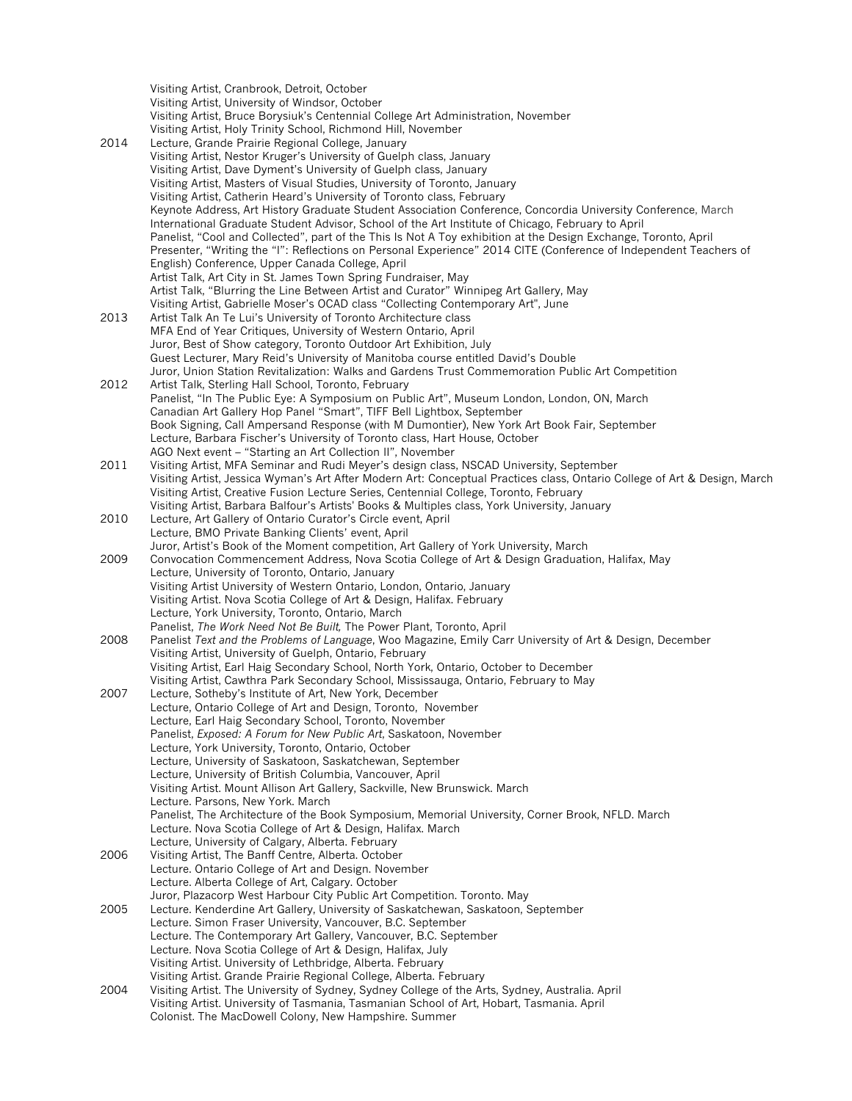Visiting Artist, Cranbrook, Detroit, October Visiting Artist, University of Windsor, October Visiting Artist, Bruce Borysiuk's Centennial College Art Administration, November Visiting Artist, Holy Trinity School, Richmond Hill, November 2014 Lecture, Grande Prairie Regional College, January Visiting Artist, Nestor Kruger's University of Guelph class, January Visiting Artist, Dave Dyment's University of Guelph class, January Visiting Artist, Masters of Visual Studies, University of Toronto, January Visiting Artist, Catherin Heard's University of Toronto class, February Keynote Address, Art History Graduate Student Association Conference, Concordia University Conference, March International Graduate Student Advisor, School of the Art Institute of Chicago, February to April Panelist, "Cool and Collected", part of the This Is Not A Toy exhibition at the Design Exchange, Toronto, April Presenter, "Writing the "I": Reflections on Personal Experience" 2014 CITE (Conference of Independent Teachers of English) Conference, Upper Canada College, April Artist Talk, Art City in St. James Town Spring Fundraiser, May Artist Talk, "Blurring the Line Between Artist and Curator" Winnipeg Art Gallery, May Visiting Artist, Gabrielle Moser's OCAD class "Collecting Contemporary Art", June 2013 Artist Talk An Te Lui's University of Toronto Architecture class MFA End of Year Critiques, University of Western Ontario, April Juror, Best of Show category, Toronto Outdoor Art Exhibition, July Guest Lecturer, Mary Reid's University of Manitoba course entitled David's Double Juror, Union Station Revitalization: Walks and Gardens Trust Commemoration Public Art Competition 2012 Artist Talk, Sterling Hall School, Toronto, February Panelist, "In The Public Eye: A Symposium on Public Art", Museum London, London, ON, March Canadian Art Gallery Hop Panel "Smart", TIFF Bell Lightbox, September Book Signing, Call Ampersand Response (with M Dumontier), New York Art Book Fair, September Lecture, Barbara Fischer's University of Toronto class, Hart House, October AGO Next event – "Starting an Art Collection II", November 2011 Visiting Artist, MFA Seminar and Rudi Meyer's design class, NSCAD University, September Visiting Artist, Jessica Wyman's Art After Modern Art: Conceptual Practices class, Ontario College of Art & Design, March Visiting Artist, Creative Fusion Lecture Series, Centennial College, Toronto, February Visiting Artist, Barbara Balfour's Artists' Books & Multiples class, York University, January 2010 Lecture, Art Gallery of Ontario Curator's Circle event, April Lecture, BMO Private Banking Clients' event, April Juror, Artist's Book of the Moment competition, Art Gallery of York University, March 2009 Convocation Commencement Address, Nova Scotia College of Art & Design Graduation, Halifax, May Lecture, University of Toronto, Ontario, January Visiting Artist University of Western Ontario, London, Ontario, January Visiting Artist. Nova Scotia College of Art & Design, Halifax. February Lecture, York University, Toronto, Ontario, March Panelist, *The Work Need Not Be Built,* The Power Plant, Toronto, April 2008 Panelist *Text and the Problems of Language*, Woo Magazine, Emily Carr University of Art & Design, December Visiting Artist, University of Guelph, Ontario, February Visiting Artist, Earl Haig Secondary School, North York, Ontario, October to December Visiting Artist, Cawthra Park Secondary School, Mississauga, Ontario, February to May 2007 Lecture, Sotheby's Institute of Art, New York, December Lecture, Ontario College of Art and Design, Toronto, November Lecture, Earl Haig Secondary School, Toronto, November Panelist, *Exposed: A Forum for New Public Art*, Saskatoon, November Lecture, York University, Toronto, Ontario, October Lecture, University of Saskatoon, Saskatchewan, September Lecture, University of British Columbia, Vancouver, April Visiting Artist. Mount Allison Art Gallery, Sackville, New Brunswick. March Lecture. Parsons, New York. March Panelist, The Architecture of the Book Symposium, Memorial University, Corner Brook, NFLD. March Lecture. Nova Scotia College of Art & Design, Halifax. March Lecture, University of Calgary, Alberta. February 2006 Visiting Artist, The Banff Centre, Alberta. October Lecture. Ontario College of Art and Design. November Lecture. Alberta College of Art, Calgary. October Juror, Plazacorp West Harbour City Public Art Competition. Toronto. May 2005 Lecture. Kenderdine Art Gallery, University of Saskatchewan, Saskatoon, September Lecture. Simon Fraser University, Vancouver, B.C. September Lecture. The Contemporary Art Gallery, Vancouver, B.C. September Lecture. Nova Scotia College of Art & Design, Halifax, July Visiting Artist. University of Lethbridge, Alberta. February Visiting Artist. Grande Prairie Regional College, Alberta. February 2004 Visiting Artist. The University of Sydney, Sydney College of the Arts, Sydney, Australia. April Visiting Artist. University of Tasmania, Tasmanian School of Art, Hobart, Tasmania. April Colonist. The MacDowell Colony, New Hampshire. Summer